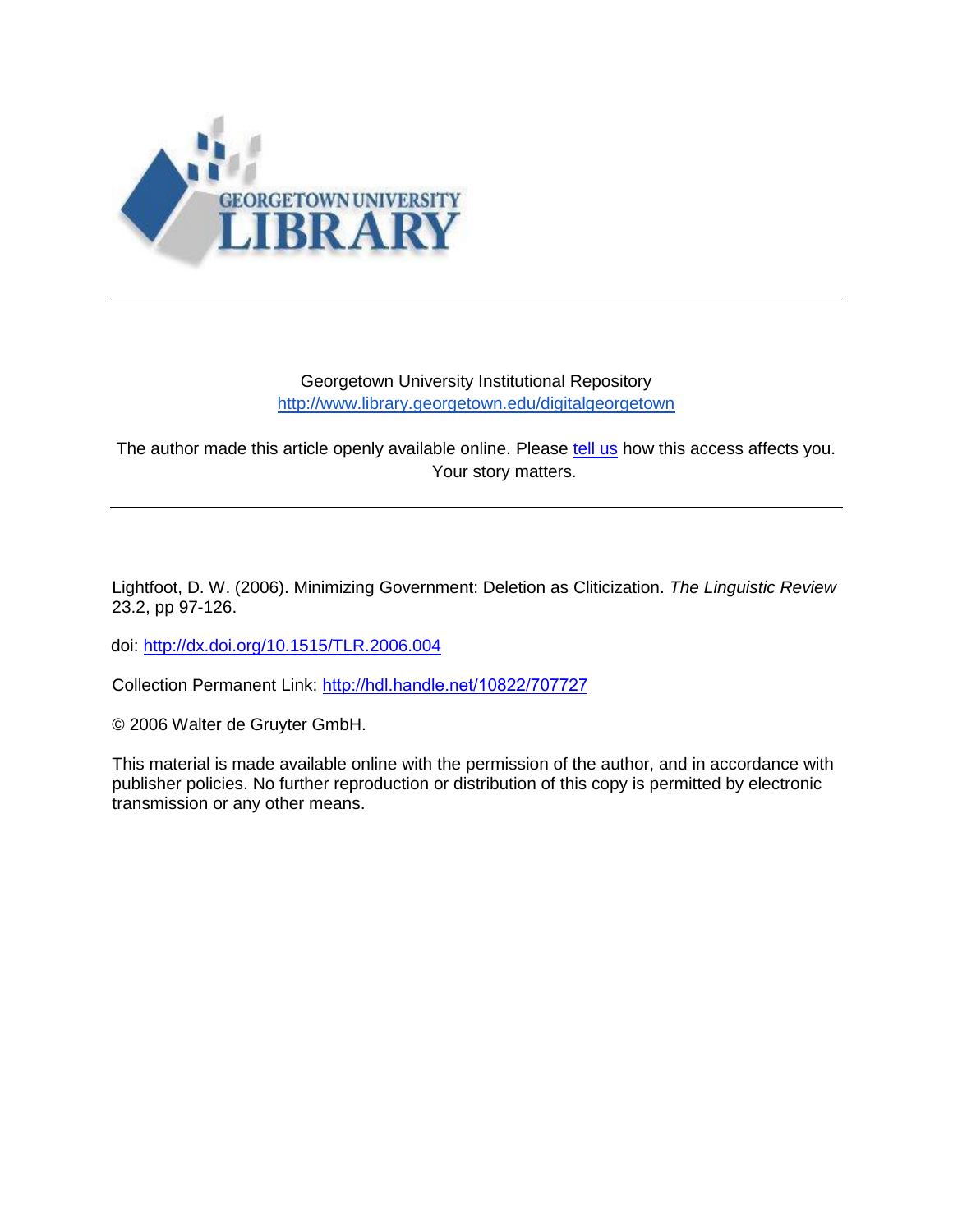

# Georgetown University Institutional Repository <http://www.library.georgetown.edu/digitalgeorgetown>

The author made this article openly available online. Please [tell us](https://www.library.georgetown.edu/ir/share-story) how this access affects you. Your story matters.

Lightfoot, D. W. (2006). Minimizing Government: Deletion as Cliticization. *The Linguistic Review* 23.2, pp 97-126.

doi: [http://dx.doi.org/10.1515/TLR.2006.004](http://dx.doi.org/10.1515%2FTLR.2006.004)

Collection Permanent Link: <http://hdl.handle.net/10822/707727>

© 2006 Walter de Gruyter GmbH.

This material is made available online with the permission of the author, and in accordance with publisher policies. No further reproduction or distribution of this copy is permitted by electronic transmission or any other means.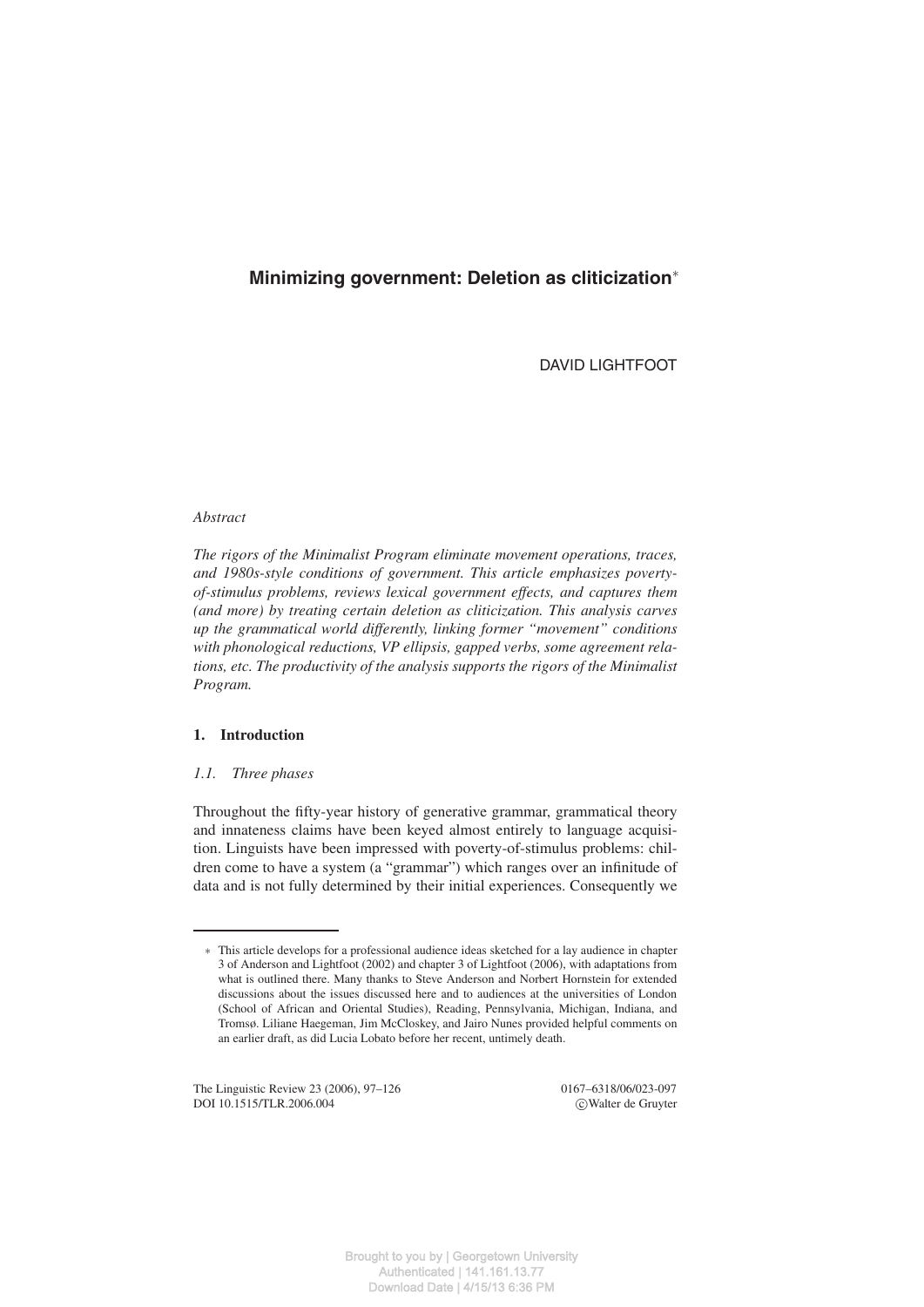## **Minimizing government: Deletion as cliticization**∗

DAVID LIGHTFOOT

## *Abstract*

*The rigors of the Minimalist Program eliminate movement operations, traces, and 1980s-style conditions of government. This article emphasizes povertyof-stimulus problems, reviews lexical government effects, and captures them (and more) by treating certain deletion as cliticization. This analysis carves up the grammatical world differently, linking former "movement" conditions with phonological reductions, VP ellipsis, gapped verbs, some agreement relations, etc. The productivity of the analysis supports the rigors of the Minimalist Program.*

## **1. Introduction**

#### *1.1. Three phases*

Throughout the fifty-year history of generative grammar, grammatical theory and innateness claims have been keyed almost entirely to language acquisition. Linguists have been impressed with poverty-of-stimulus problems: children come to have a system (a "grammar") which ranges over an infinitude of data and is not fully determined by their initial experiences. Consequently we

The Linguistic Review 23 (2006), 97-126 0167-6318/06/023-097 DOI 10.1515/TLR.2006.004 c Walter de Gruyter

<sup>∗</sup>. This article develops for a professional audience ideas sketched for a lay audience in chapter 3 of Anderson and Lightfoot (2002) and chapter 3 of Lightfoot (2006), with adaptations from what is outlined there. Many thanks to Steve Anderson and Norbert Hornstein for extended discussions about the issues discussed here and to audiences at the universities of London (School of African and Oriental Studies), Reading, Pennsylvania, Michigan, Indiana, and Tromsø. Liliane Haegeman, Jim McCloskey, and Jairo Nunes provided helpful comments on an earlier draft, as did Lucia Lobato before her recent, untimely death.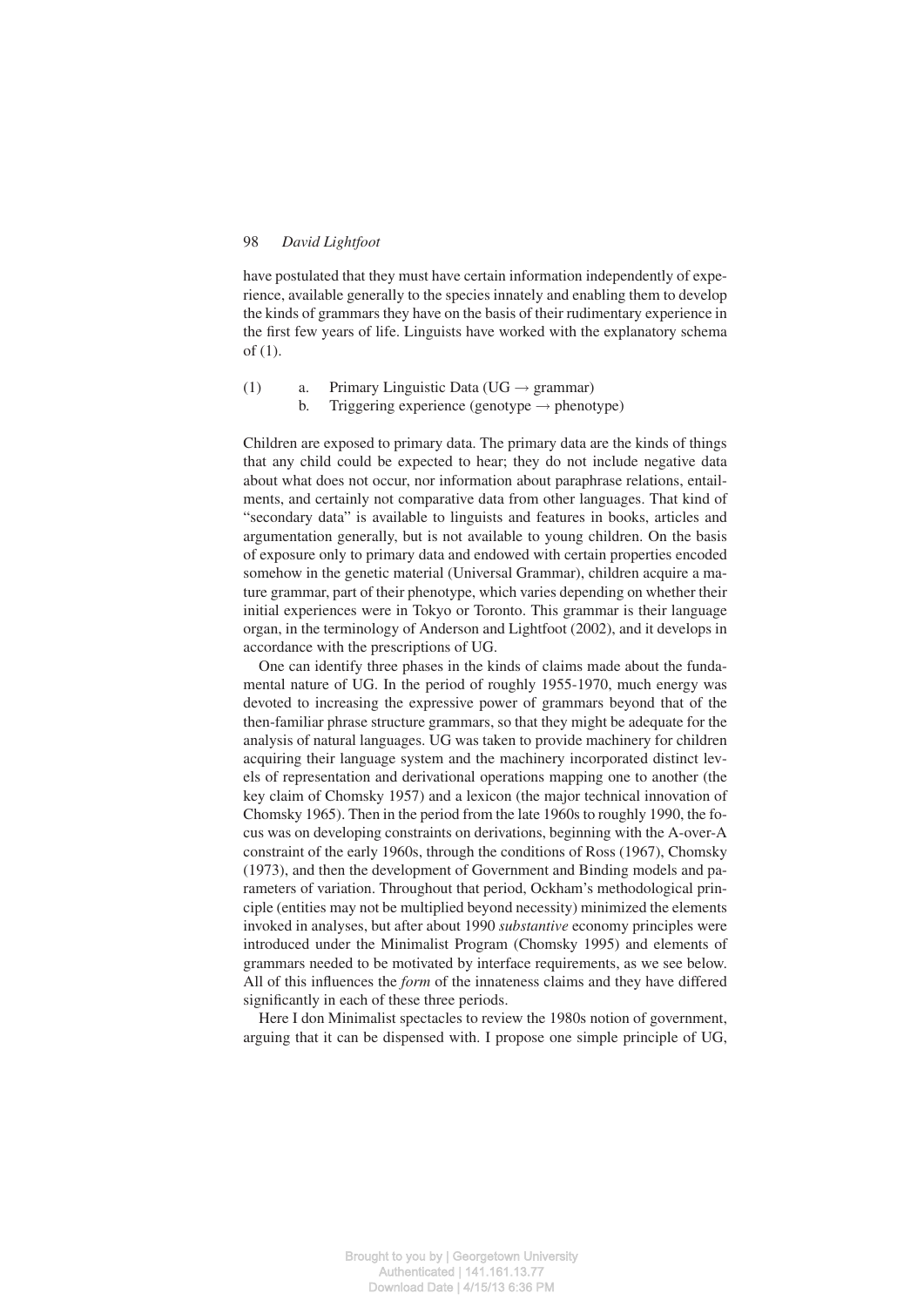have postulated that they must have certain information independently of experience, available generally to the species innately and enabling them to develop the kinds of grammars they have on the basis of their rudimentary experience in the first few years of life. Linguists have worked with the explanatory schema of (1).

(1) a. Primary Linguistic Data (UG  $\rightarrow$  grammar)<br>b. Triggering experience (genotype  $\rightarrow$  phenot Triggering experience (genotype  $\rightarrow$  phenotype)

Children are exposed to primary data. The primary data are the kinds of things that any child could be expected to hear; they do not include negative data about what does not occur, nor information about paraphrase relations, entailments, and certainly not comparative data from other languages. That kind of "secondary data" is available to linguists and features in books, articles and argumentation generally, but is not available to young children. On the basis of exposure only to primary data and endowed with certain properties encoded somehow in the genetic material (Universal Grammar), children acquire a mature grammar, part of their phenotype, which varies depending on whether their initial experiences were in Tokyo or Toronto. This grammar is their language organ, in the terminology of Anderson and Lightfoot (2002), and it develops in accordance with the prescriptions of UG.

One can identify three phases in the kinds of claims made about the fundamental nature of UG. In the period of roughly 1955-1970, much energy was devoted to increasing the expressive power of grammars beyond that of the then-familiar phrase structure grammars, so that they might be adequate for the analysis of natural languages. UG was taken to provide machinery for children acquiring their language system and the machinery incorporated distinct levels of representation and derivational operations mapping one to another (the key claim of Chomsky 1957) and a lexicon (the major technical innovation of Chomsky 1965). Then in the period from the late 1960s to roughly 1990, the focus was on developing constraints on derivations, beginning with the A-over-A constraint of the early 1960s, through the conditions of Ross (1967), Chomsky (1973), and then the development of Government and Binding models and parameters of variation. Throughout that period, Ockham's methodological principle (entities may not be multiplied beyond necessity) minimized the elements invoked in analyses, but after about 1990 *substantive* economy principles were introduced under the Minimalist Program (Chomsky 1995) and elements of grammars needed to be motivated by interface requirements, as we see below. All of this influences the *form* of the innateness claims and they have differed significantly in each of these three periods.

Here I don Minimalist spectacles to review the 1980s notion of government, arguing that it can be dispensed with. I propose one simple principle of UG,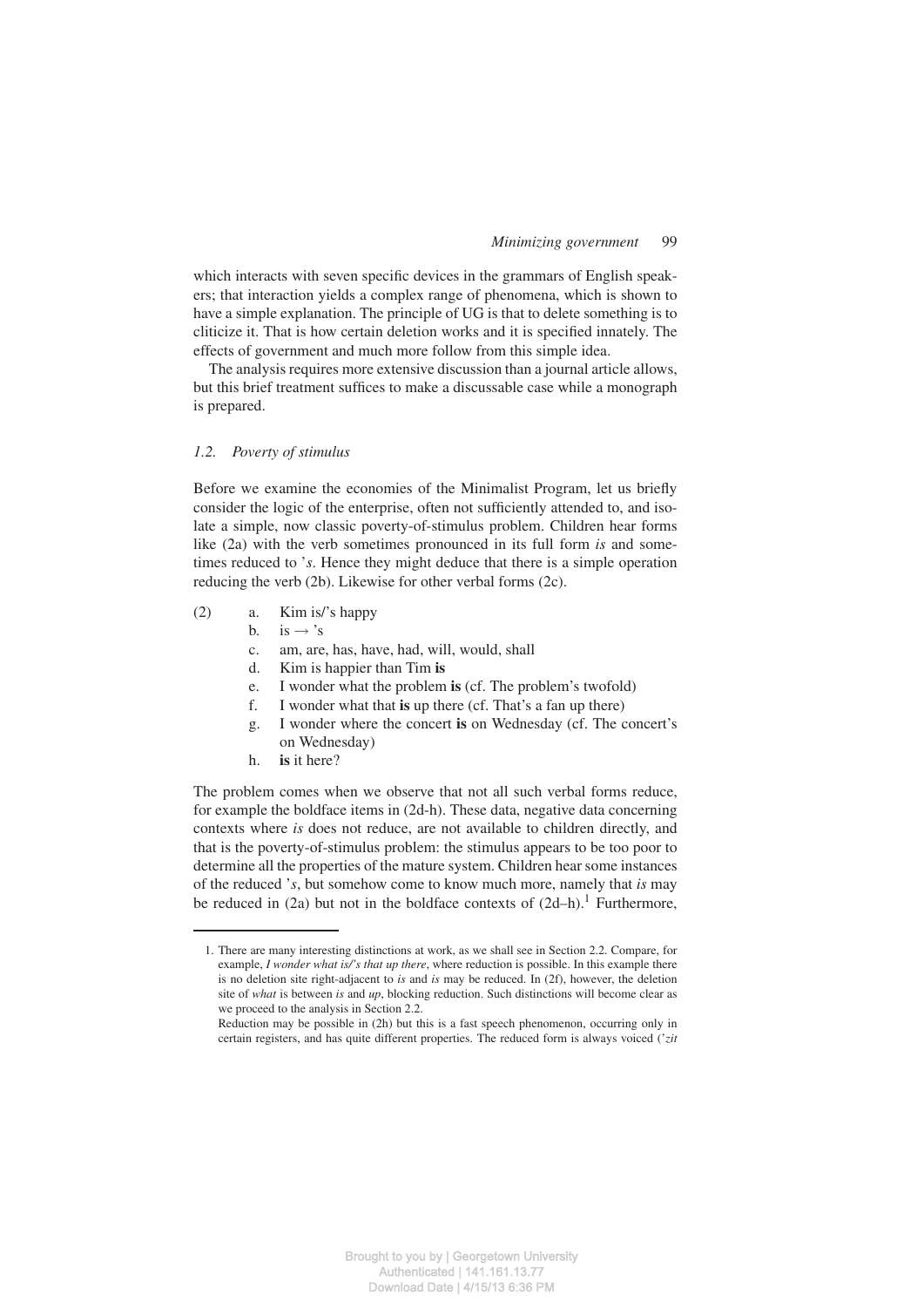which interacts with seven specific devices in the grammars of English speakers; that interaction yields a complex range of phenomena, which is shown to have a simple explanation. The principle of UG is that to delete something is to cliticize it. That is how certain deletion works and it is specified innately. The effects of government and much more follow from this simple idea.

The analysis requires more extensive discussion than a journal article allows, but this brief treatment suffices to make a discussable case while a monograph is prepared.

## *1.2. Poverty of stimulus*

Before we examine the economies of the Minimalist Program, let us briefly consider the logic of the enterprise, often not sufficiently attended to, and isolate a simple, now classic poverty-of-stimulus problem. Children hear forms like (2a) with the verb sometimes pronounced in its full form *is* and sometimes reduced to '*s*. Hence they might deduce that there is a simple operation reducing the verb (2b). Likewise for other verbal forms (2c).

- (2) a. Kim is/'s happy
	- b. is  $\rightarrow$  's<br>c am are
	- am, are, has, have, had, will, would, shall
	- d. Kim is happier than Tim **is**
	- e. I wonder what the problem **is** (cf. The problem's twofold)
	- f. I wonder what that **is** up there (cf. That's a fan up there)
	- g. I wonder where the concert **is** on Wednesday (cf. The concert's on Wednesday)
	- h. **is** it here?

The problem comes when we observe that not all such verbal forms reduce, for example the boldface items in (2d-h). These data, negative data concerning contexts where *is* does not reduce, are not available to children directly, and that is the poverty-of-stimulus problem: the stimulus appears to be too poor to determine all the properties of the mature system. Children hear some instances of the reduced '*s*, but somehow come to know much more, namely that *is* may be reduced in (2a) but not in the boldface contexts of  $(2d-h).$ <sup>1</sup> Furthermore,

<sup>1.</sup> There are many interesting distinctions at work, as we shall see in Section 2.2. Compare, for example, *I wonder what is/'s that up there*, where reduction is possible. In this example there is no deletion site right-adjacent to *is* and *is* may be reduced. In (2f), however, the deletion site of *what* is between *is* and *up*, blocking reduction. Such distinctions will become clear as we proceed to the analysis in Section 2.2.

Reduction may be possible in (2h) but this is a fast speech phenomenon, occurring only in certain registers, and has quite different properties. The reduced form is always voiced ('*zit*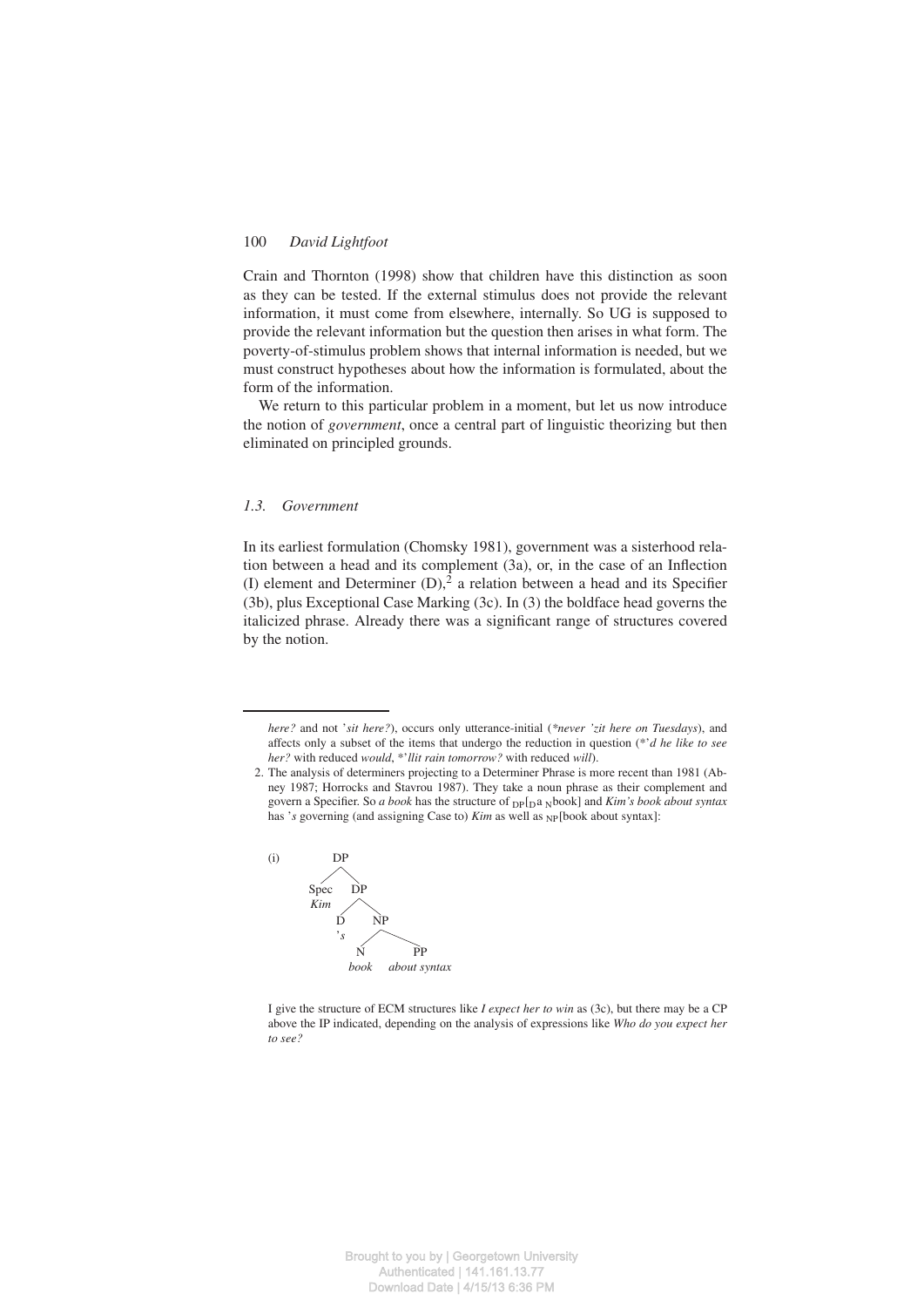Crain and Thornton (1998) show that children have this distinction as soon as they can be tested. If the external stimulus does not provide the relevant information, it must come from elsewhere, internally. So UG is supposed to provide the relevant information but the question then arises in what form. The poverty-of-stimulus problem shows that internal information is needed, but we must construct hypotheses about how the information is formulated, about the form of the information.

We return to this particular problem in a moment, but let us now introduce the notion of *government*, once a central part of linguistic theorizing but then eliminated on principled grounds.

#### *1.3. Government*

In its earliest formulation (Chomsky 1981), government was a sisterhood relation between a head and its complement (3a), or, in the case of an Inflection (I) element and Determiner  $(D)$ ,<sup>2</sup> a relation between a head and its Specifier (3b), plus Exceptional Case Marking (3c). In (3) the boldface head governs the italicized phrase. Already there was a significant range of structures covered by the notion.

<sup>2.</sup> The analysis of determiners projecting to a Determiner Phrase is more recent than 1981 (Abney 1987; Horrocks and Stavrou 1987). They take a noun phrase as their complement and govern a Specifier. So *a book* has the structure of DP[Da Nbook] and *Kim's book about syntax* has 's governing (and assigning Case to) *Kim* as well as <sub>NP</sub>[book about syntax]:



I give the structure of ECM structures like *I expect her to win* as (3c), but there may be a CP above the IP indicated, depending on the analysis of expressions like *Who do you expect her to see?*

*here?* and not '*sit here?*), occurs only utterance-initial (*\*never 'zit here on Tuesdays*), and affects only a subset of the items that undergo the reduction in question (\*'*d he like to see her?* with reduced *would*, \*'*llit rain tomorrow?* with reduced *will*).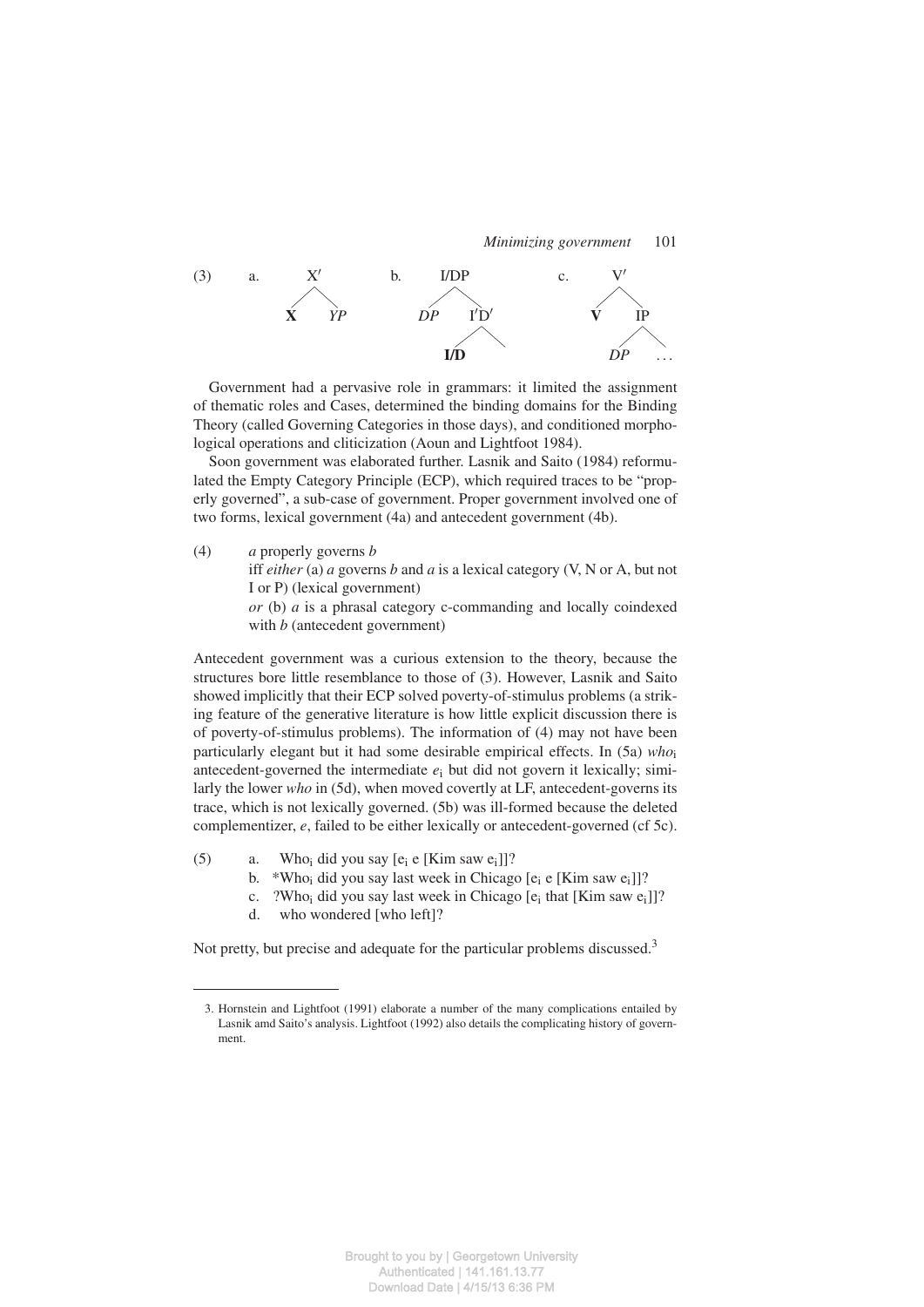*Minimizing government* 101



Government had a pervasive role in grammars: it limited the assignment of thematic roles and Cases, determined the binding domains for the Binding Theory (called Governing Categories in those days), and conditioned morphological operations and cliticization (Aoun and Lightfoot 1984).

Soon government was elaborated further. Lasnik and Saito (1984) reformulated the Empty Category Principle (ECP), which required traces to be "properly governed", a sub-case of government. Proper government involved one of two forms, lexical government (4a) and antecedent government (4b).

(4) *a* properly governs *b*

iff *either* (a) *a* governs *b* and *a* is a lexical category (V, N or A, but not I or P) (lexical government)

*or* (b) *a* is a phrasal category c-commanding and locally coindexed with *b* (antecedent government)

Antecedent government was a curious extension to the theory, because the structures bore little resemblance to those of (3). However, Lasnik and Saito showed implicitly that their ECP solved poverty-of-stimulus problems (a striking feature of the generative literature is how little explicit discussion there is of poverty-of-stimulus problems). The information of (4) may not have been particularly elegant but it had some desirable empirical effects. In (5a) *who*<sup>i</sup> antecedent-governed the intermediate *e*<sup>i</sup> but did not govern it lexically; similarly the lower *who* in (5d), when moved covertly at LF, antecedent-governs its trace, which is not lexically governed. (5b) was ill-formed because the deleted complementizer, *e*, failed to be either lexically or antecedent-governed (cf 5c).

- (5) a. Whoi did you say [ei e [Kim saw ei]]?
	- b. \*Who<sub>i</sub> did you say last week in Chicago  $[e_i e]$  [Kim saw  $e_i$ ]]?
	- c. ?Who<sub>i</sub> did you say last week in Chicago  $[e_i$  that  $[Kim \text{ saw } e_i]]$ ?
	- d. who wondered [who left]?

Not pretty, but precise and adequate for the particular problems discussed.<sup>3</sup>

<sup>3.</sup> Hornstein and Lightfoot (1991) elaborate a number of the many complications entailed by Lasnik amd Saito's analysis. Lightfoot (1992) also details the complicating history of government.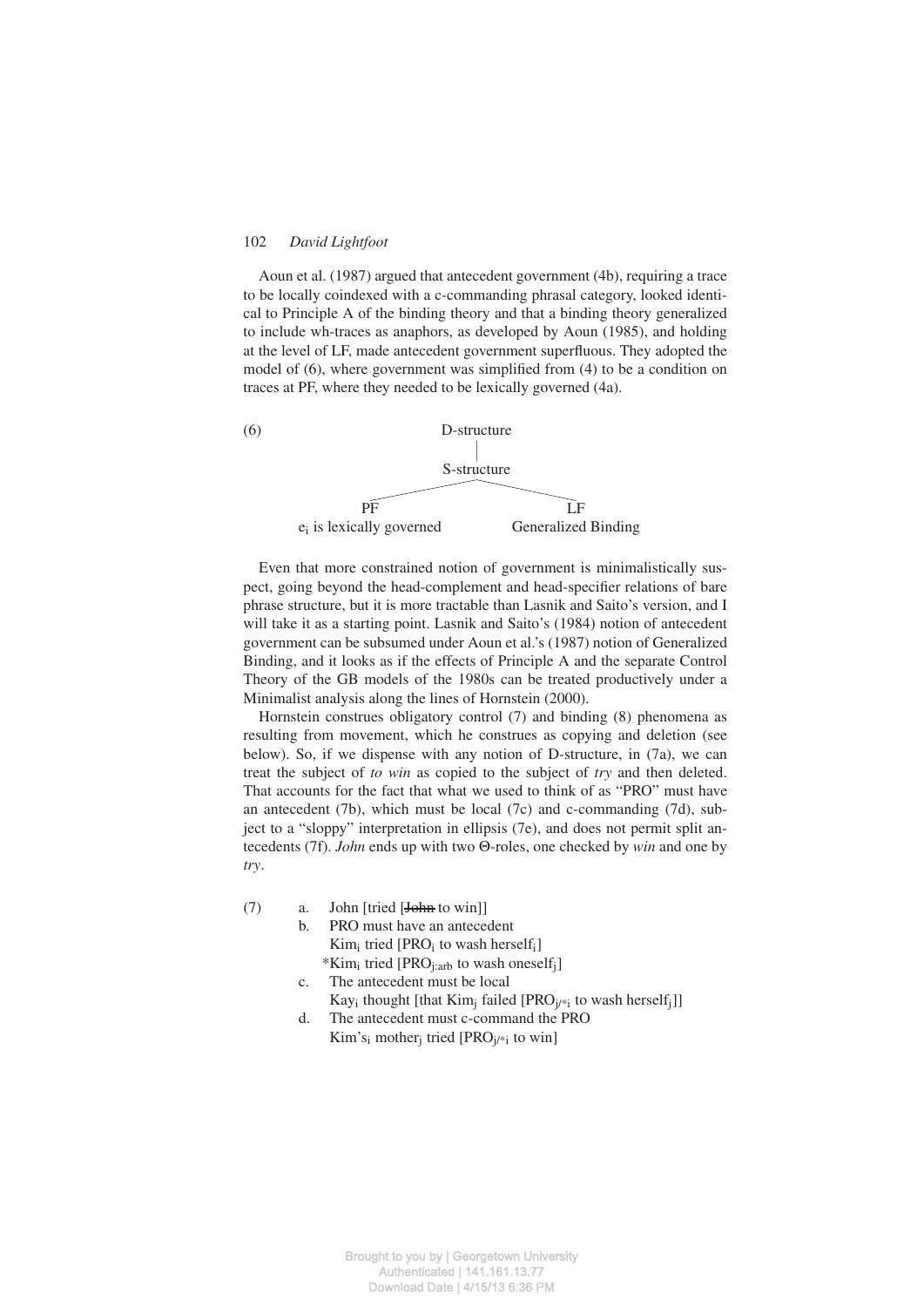Aoun et al. (1987) argued that antecedent government (4b), requiring a trace to be locally coindexed with a c-commanding phrasal category, looked identical to Principle A of the binding theory and that a binding theory generalized to include wh-traces as anaphors, as developed by Aoun (1985), and holding at the level of LF, made antecedent government superfluous. They adopted the model of (6), where government was simplified from (4) to be a condition on traces at PF, where they needed to be lexically governed (4a).



Even that more constrained notion of government is minimalistically suspect, going beyond the head-complement and head-specifier relations of bare phrase structure, but it is more tractable than Lasnik and Saito's version, and I will take it as a starting point. Lasnik and Saito's (1984) notion of antecedent government can be subsumed under Aoun et al.'s (1987) notion of Generalized Binding, and it looks as if the effects of Principle A and the separate Control Theory of the GB models of the 1980s can be treated productively under a Minimalist analysis along the lines of Hornstein (2000).

Hornstein construes obligatory control (7) and binding (8) phenomena as resulting from movement, which he construes as copying and deletion (see below). So, if we dispense with any notion of D-structure, in (7a), we can treat the subject of *to win* as copied to the subject of *try* and then deleted. That accounts for the fact that what we used to think of as "PRO" must have an antecedent (7b), which must be local (7c) and c-commanding (7d), subject to a "sloppy" interpretation in ellipsis (7e), and does not permit split antecedents (7f). *John* ends up with two Θ-roles, one checked by *win* and one by *try*.

(7) a. John [tried [John to win]]

b. PRO must have an antecedent  $Kim<sub>i</sub> tried [PRO<sub>i</sub> to wash herself<sub>i</sub>]$  $*Kim_i$  tried [PRO<sub>i:arb</sub> to wash oneself<sub>i</sub>]

- c. The antecedent must be local
- Kay<sub>i</sub> thought [that Kim<sub>i</sub> failed [PRO<sub>i/\*i</sub> to wash herself<sub>i</sub>]] d. The antecedent must c-command the PRO

Kim's<sub>i</sub> mother<sub>i</sub> tried [PRO<sub>i/\*i</sub> to win]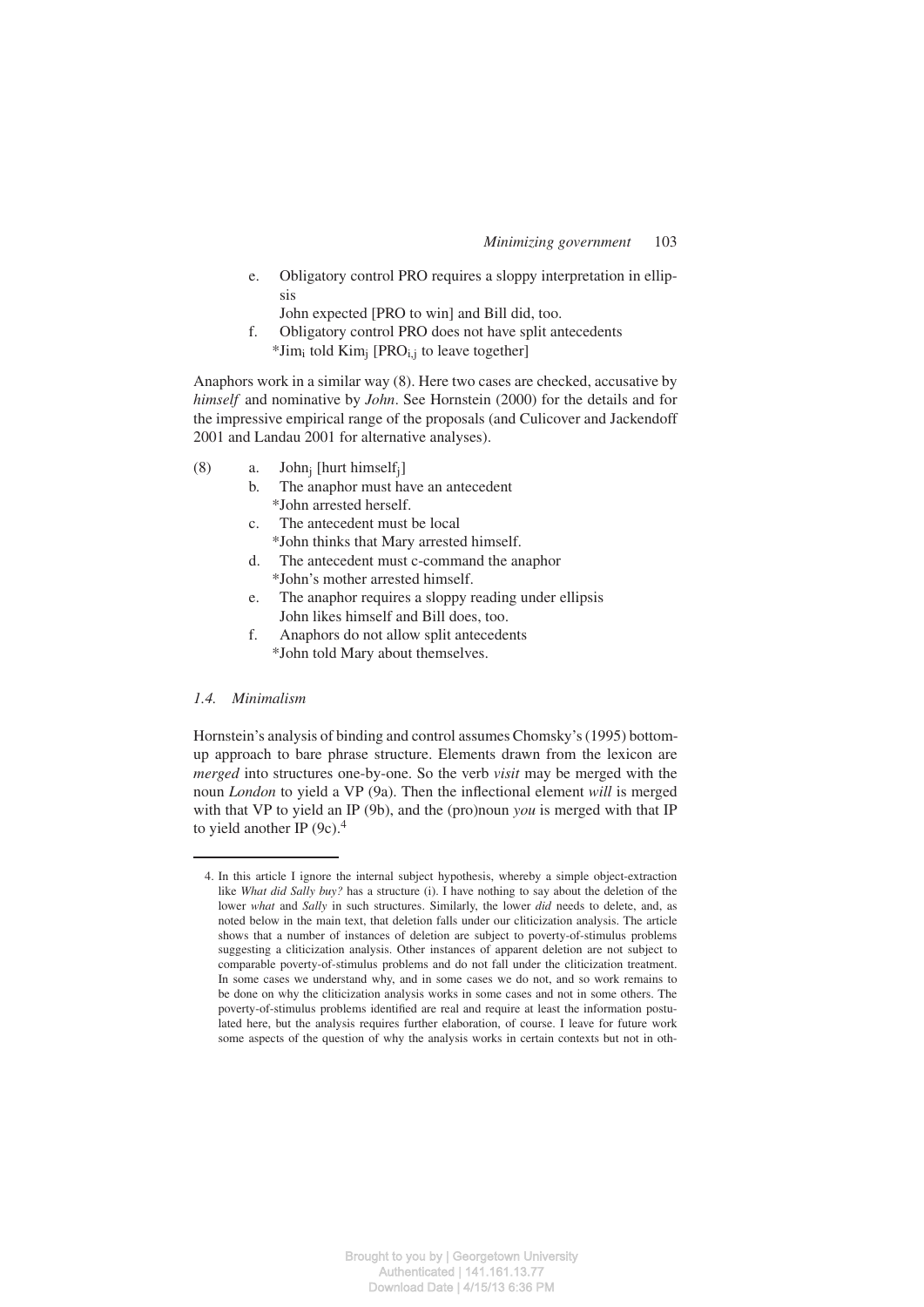e. Obligatory control PRO requires a sloppy interpretation in ellipsis

John expected [PRO to win] and Bill did, too.

f. Obligatory control PRO does not have split antecedents  $*$ Jim<sub>i</sub> told Kim<sub>i</sub> [PRO<sub>i</sub> to leave together]

Anaphors work in a similar way (8). Here two cases are checked, accusative by *himself* and nominative by *John*. See Hornstein (2000) for the details and for the impressive empirical range of the proposals (and Culicover and Jackendoff 2001 and Landau 2001 for alternative analyses).

- (8) a. John<sub>i</sub> [hurt himself<sub>i</sub>]
	- b. The anaphor must have an antecedent \*John arrested herself.
	- c. The antecedent must be local
	- \*John thinks that Mary arrested himself.
	- d. The antecedent must c-command the anaphor \*John's mother arrested himself.
	- e. The anaphor requires a sloppy reading under ellipsis John likes himself and Bill does, too.
	- f. Anaphors do not allow split antecedents \*John told Mary about themselves.

#### *1.4. Minimalism*

Hornstein's analysis of binding and control assumes Chomsky's (1995) bottomup approach to bare phrase structure. Elements drawn from the lexicon are *merged* into structures one-by-one. So the verb *visit* may be merged with the noun *London* to yield a VP (9a). Then the inflectional element *will* is merged with that VP to yield an IP (9b), and the (pro)noun *you* is merged with that IP to yield another IP  $(9c)$ .<sup>4</sup>

<sup>4.</sup> In this article I ignore the internal subject hypothesis, whereby a simple object-extraction like *What did Sally buy?* has a structure (i). I have nothing to say about the deletion of the lower *what* and *Sally* in such structures. Similarly, the lower *did* needs to delete, and, as noted below in the main text, that deletion falls under our cliticization analysis. The article shows that a number of instances of deletion are subject to poverty-of-stimulus problems suggesting a cliticization analysis. Other instances of apparent deletion are not subject to comparable poverty-of-stimulus problems and do not fall under the cliticization treatment. In some cases we understand why, and in some cases we do not, and so work remains to be done on why the cliticization analysis works in some cases and not in some others. The poverty-of-stimulus problems identified are real and require at least the information postulated here, but the analysis requires further elaboration, of course. I leave for future work some aspects of the question of why the analysis works in certain contexts but not in oth-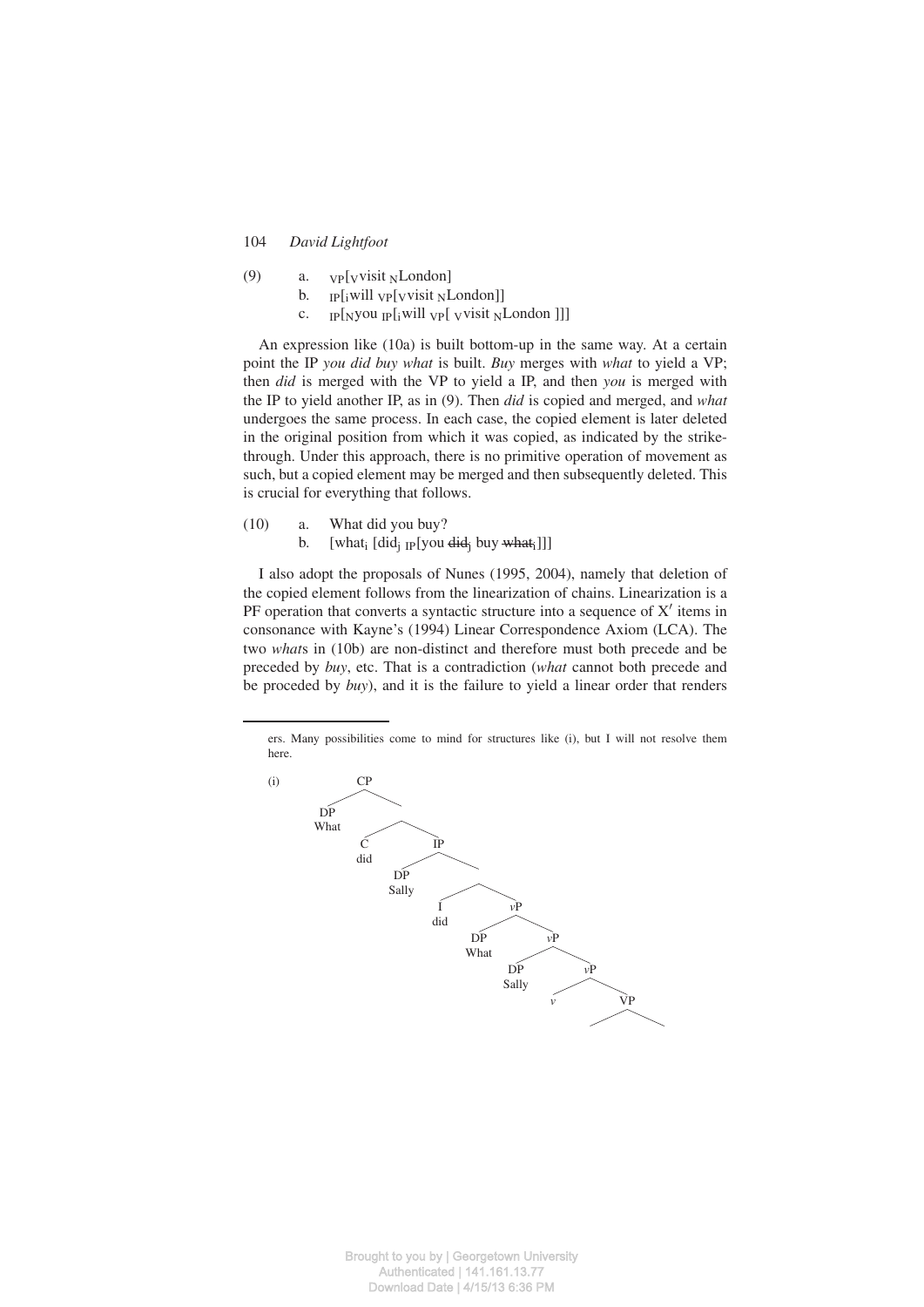- (9) a.  $VP[vvisit_NLondon]$ 
	- b.  $IP[iwill VP[vvisit_NLondon]]$
	- c.  $IP[N$ you  $IP[i$ will  $VP[V$ visit  $N$ London ]]]

An expression like (10a) is built bottom-up in the same way. At a certain point the IP *you did buy what* is built. *Buy* merges with *what* to yield a VP; then *did* is merged with the VP to yield a IP, and then *you* is merged with the IP to yield another IP, as in (9). Then *did* is copied and merged, and *what* undergoes the same process. In each case, the copied element is later deleted in the original position from which it was copied, as indicated by the strikethrough. Under this approach, there is no primitive operation of movement as such, but a copied element may be merged and then subsequently deleted. This is crucial for everything that follows.

# (10) a. What did you buy?

b. [what<sub>i</sub> [did<sub>i IP</sub>[you did<sub>i</sub> buy what<sub>i</sub>]]]

I also adopt the proposals of Nunes (1995, 2004), namely that deletion of the copied element follows from the linearization of chains. Linearization is a PF operation that converts a syntactic structure into a sequence of  $X'$  items in consonance with Kayne's (1994) Linear Correspondence Axiom (LCA). The two *what*s in (10b) are non-distinct and therefore must both precede and be preceded by *buy*, etc. That is a contradiction (*what* cannot both precede and be proceded by *buy*), and it is the failure to yield a linear order that renders

ers. Many possibilities come to mind for structures like (i), but I will not resolve them here.



Brought to you by | Georgetown University Authenticated | 141.161.13.77 Download Date | 4/15/13 6:36 PM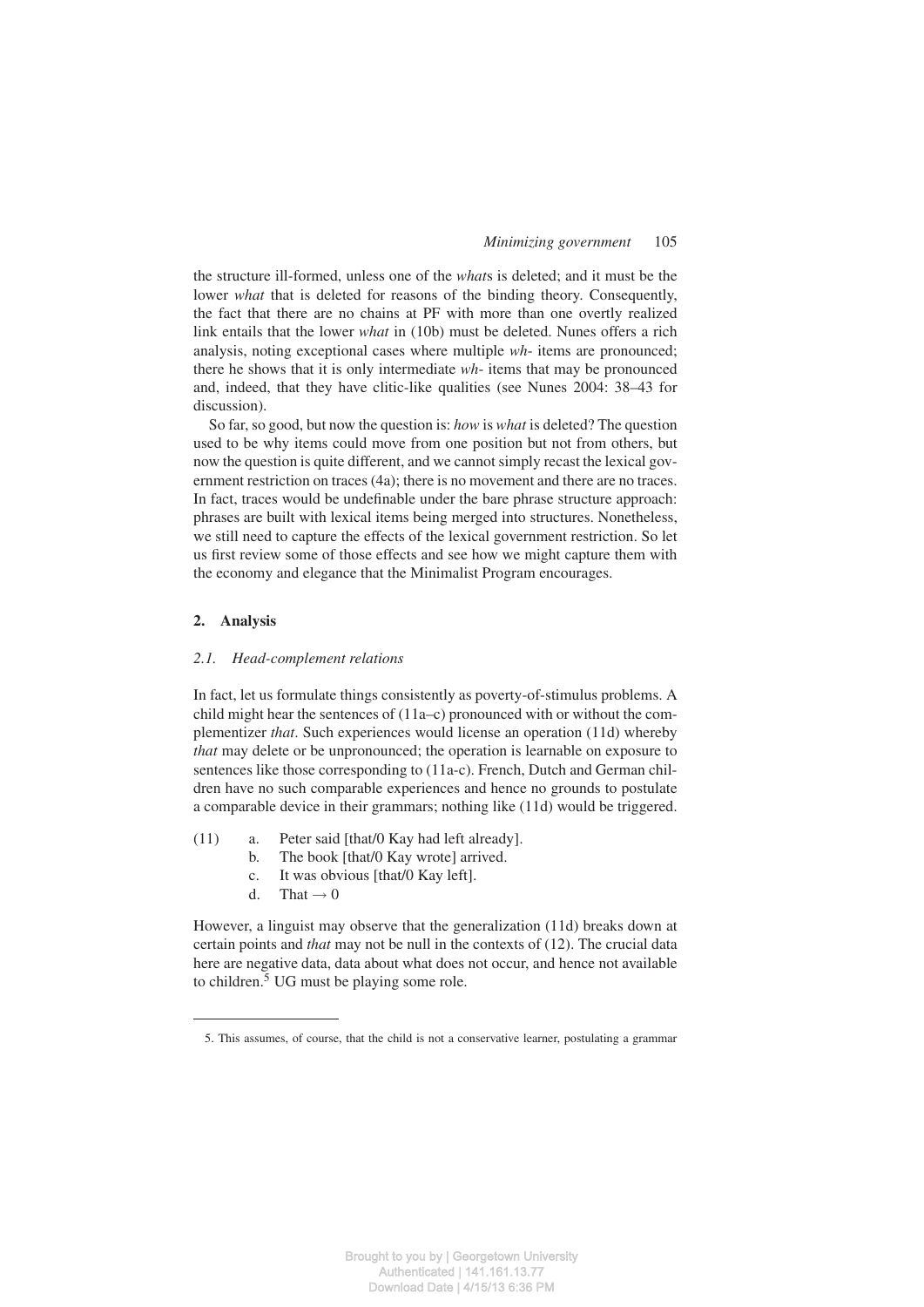the structure ill-formed, unless one of the *what*s is deleted; and it must be the lower *what* that is deleted for reasons of the binding theory. Consequently, the fact that there are no chains at PF with more than one overtly realized link entails that the lower *what* in (10b) must be deleted. Nunes offers a rich analysis, noting exceptional cases where multiple *wh*- items are pronounced; there he shows that it is only intermediate *wh*- items that may be pronounced and, indeed, that they have clitic-like qualities (see Nunes 2004: 38–43 for discussion).

So far, so good, but now the question is: *how* is *what* is deleted? The question used to be why items could move from one position but not from others, but now the question is quite different, and we cannot simply recast the lexical government restriction on traces (4a); there is no movement and there are no traces. In fact, traces would be undefinable under the bare phrase structure approach: phrases are built with lexical items being merged into structures. Nonetheless, we still need to capture the effects of the lexical government restriction. So let us first review some of those effects and see how we might capture them with the economy and elegance that the Minimalist Program encourages.

#### **2. Analysis**

## *2.1. Head-complement relations*

In fact, let us formulate things consistently as poverty-of-stimulus problems. A child might hear the sentences of (11a–c) pronounced with or without the complementizer *that*. Such experiences would license an operation (11d) whereby *that* may delete or be unpronounced; the operation is learnable on exposure to sentences like those corresponding to (11a-c). French, Dutch and German children have no such comparable experiences and hence no grounds to postulate a comparable device in their grammars; nothing like (11d) would be triggered.

- (11) a. Peter said [that/0 Kay had left already].
	- b. The book [that/0 Kay wrote] arrived.
		- c. It was obvious [that/0 Kay left].
		- d. That  $\rightarrow 0$

However, a linguist may observe that the generalization (11d) breaks down at certain points and *that* may not be null in the contexts of (12). The crucial data here are negative data, data about what does not occur, and hence not available to children. $5 \text{UG}$  must be playing some role.

<sup>5.</sup> This assumes, of course, that the child is not a conservative learner, postulating a grammar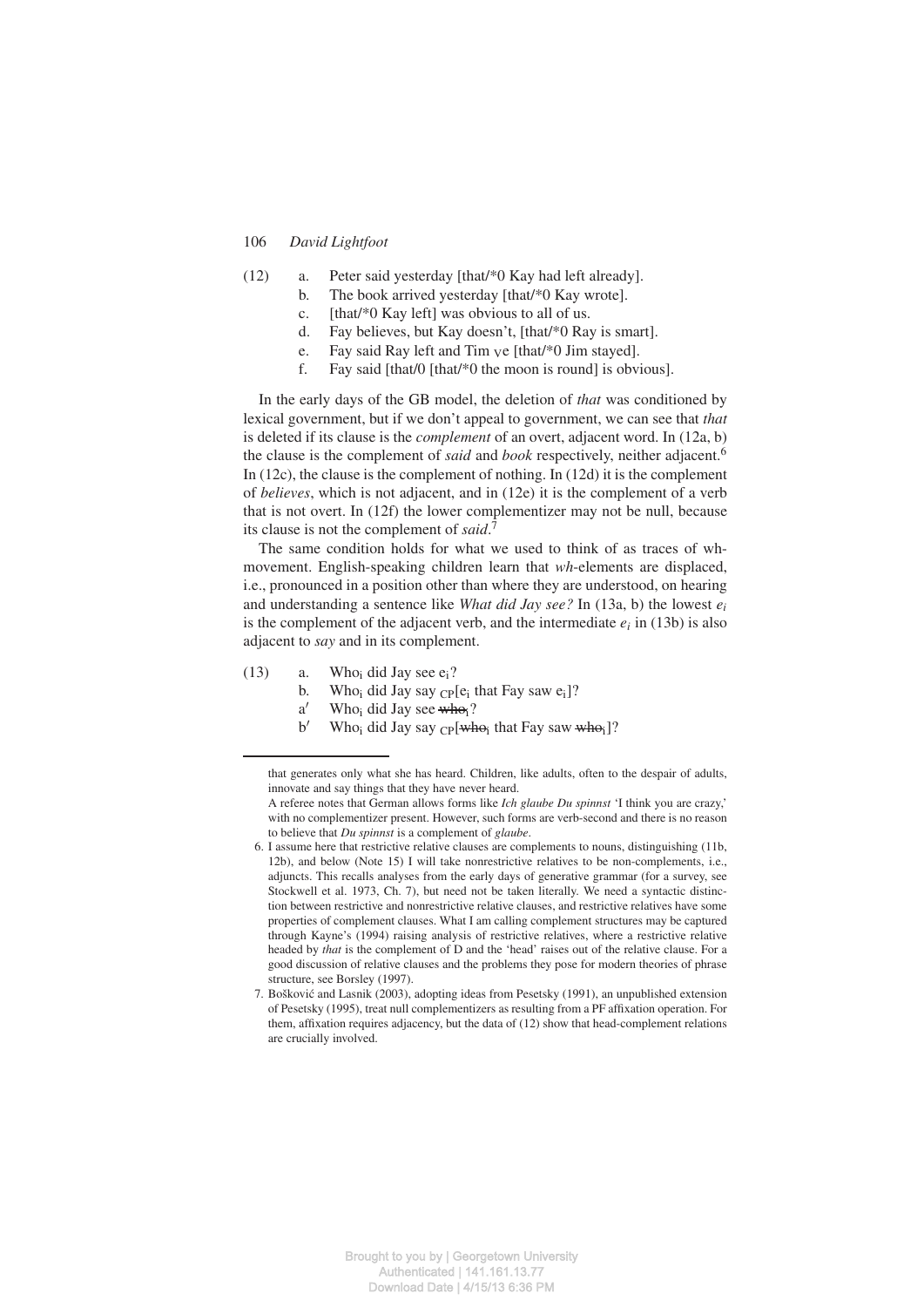- (12) a. Peter said yesterday [that/\*0 Kay had left already].
	- b. The book arrived yesterday [that/\*0 Kay wrote].
	- c. [that/\*0 Kay left] was obvious to all of us.
	- d. Fay believes, but Kay doesn't, [that/\*0 Ray is smart].
	- e. Fay said Ray left and Tim  $ve$  [that/\*0 Jim stayed].
	- f. Fay said [that/0 [that/\*0 the moon is round] is obvious].

In the early days of the GB model, the deletion of *that* was conditioned by lexical government, but if we don't appeal to government, we can see that *that* is deleted if its clause is the *complement* of an overt, adjacent word. In (12a, b) the clause is the complement of *said* and *book* respectively, neither adjacent.<sup>6</sup> In (12c), the clause is the complement of nothing. In (12d) it is the complement of *believes*, which is not adjacent, and in (12e) it is the complement of a verb that is not overt. In (12f) the lower complementizer may not be null, because its clause is not the complement of *said*. 7

The same condition holds for what we used to think of as traces of whmovement. English-speaking children learn that *wh*-elements are displaced, i.e., pronounced in a position other than where they are understood, on hearing and understanding a sentence like *What did Jay see?* In (13a, b) the lowest *ei* is the complement of the adjacent verb, and the intermediate  $e_i$  in (13b) is also adjacent to *say* and in its complement.

- $(13)$  a. Who<sub>i</sub> did Jay see e<sub>i</sub>?
	- b. Who<sub>i</sub> did Jay say  $_{\rm CP}[e_i]$  that Fay saw  $e_i$ ]?
	- a' Who<sub>i</sub> did Jay see who<sub>i</sub>?<br>b' Whoi did Jay say cplwh
	- Who<sub>i</sub> did Jay say  $\mathbb{CP}[\overline{\text{whe}}]$  that Fay saw  $\overline{\text{whe}}$ <sup>[2]</sup>

that generates only what she has heard. Children, like adults, often to the despair of adults, innovate and say things that they have never heard.

A referee notes that German allows forms like *Ich glaube Du spinnst* 'I think you are crazy,' with no complementizer present. However, such forms are verb-second and there is no reason to believe that *Du spinnst* is a complement of *glaube*.

<sup>6.</sup> I assume here that restrictive relative clauses are complements to nouns, distinguishing (11b, 12b), and below (Note 15) I will take nonrestrictive relatives to be non-complements, i.e., adjuncts. This recalls analyses from the early days of generative grammar (for a survey, see Stockwell et al. 1973, Ch. 7), but need not be taken literally. We need a syntactic distinction between restrictive and nonrestrictive relative clauses, and restrictive relatives have some properties of complement clauses. What I am calling complement structures may be captured through Kayne's (1994) raising analysis of restrictive relatives, where a restrictive relative headed by *that* is the complement of D and the 'head' raises out of the relative clause. For a good discussion of relative clauses and the problems they pose for modern theories of phrase structure, see Borsley (1997).

<sup>7.</sup> Boškovic and Lasnik (2003), adopting ideas from Pesetsky (1991), an unpublished extension ´ of Pesetsky (1995), treat null complementizers as resulting from a PF affixation operation. For them, affixation requires adjacency, but the data of (12) show that head-complement relations are crucially involved.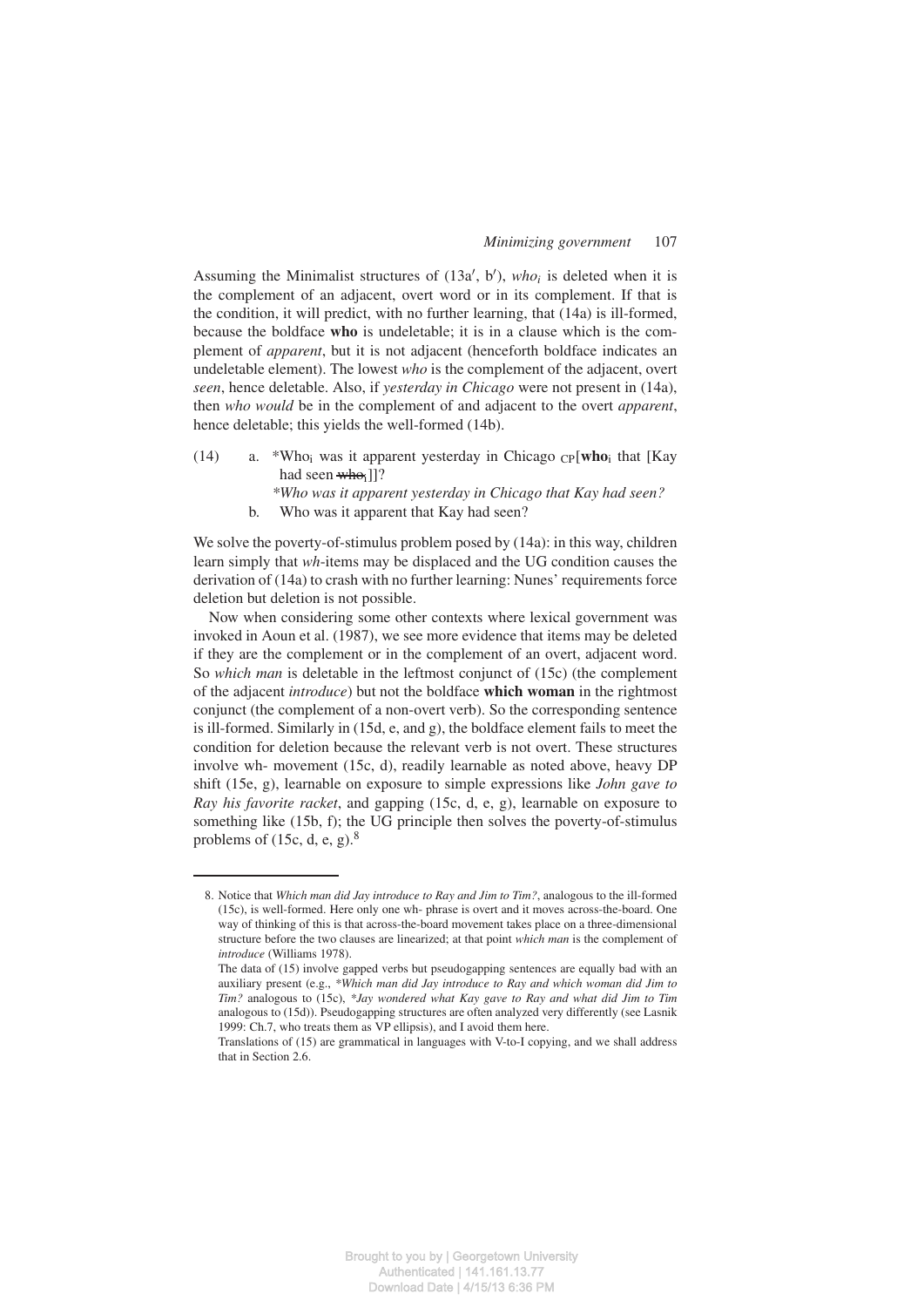Assuming the Minimalist structures of  $(13a', b')$ , *who<sub>i</sub>* is deleted when it is the complement of an adjacent, overt word or in its complement. If that is the condition, it will predict, with no further learning, that (14a) is ill-formed, because the boldface **who** is undeletable; it is in a clause which is the complement of *apparent*, but it is not adjacent (henceforth boldface indicates an undeletable element). The lowest *who* is the complement of the adjacent, overt *seen*, hence deletable. Also, if *yesterday in Chicago* were not present in (14a), then *who would* be in the complement of and adjacent to the overt *apparent*, hence deletable; this yields the well-formed (14b).

- (14) a. \*Who<sub>i</sub> was it apparent yesterday in Chicago <sub>CP</sub>[who<sub>i</sub> that [Kay] had seen  $w h o_i$ ]]?
	- *\*Who was it apparent yesterday in Chicago that Kay had seen?* b. Who was it apparent that Kay had seen?

We solve the poverty-of-stimulus problem posed by  $(14a)$ : in this way, children learn simply that *wh*-items may be displaced and the UG condition causes the derivation of (14a) to crash with no further learning: Nunes' requirements force deletion but deletion is not possible.

Now when considering some other contexts where lexical government was invoked in Aoun et al. (1987), we see more evidence that items may be deleted if they are the complement or in the complement of an overt, adjacent word. So *which man* is deletable in the leftmost conjunct of (15c) (the complement of the adjacent *introduce*) but not the boldface **which woman** in the rightmost conjunct (the complement of a non-overt verb). So the corresponding sentence is ill-formed. Similarly in (15d, e, and g), the boldface element fails to meet the condition for deletion because the relevant verb is not overt. These structures involve wh- movement (15c, d), readily learnable as noted above, heavy DP shift (15e, g), learnable on exposure to simple expressions like *John gave to Ray his favorite racket*, and gapping (15c, d, e, g), learnable on exposure to something like (15b, f); the UG principle then solves the poverty-of-stimulus problems of  $(15c, d, e, g)<sup>8</sup>$ 

<sup>8.</sup> Notice that *Which man did Jay introduce to Ray and Jim to Tim?*, analogous to the ill-formed (15c), is well-formed. Here only one wh- phrase is overt and it moves across-the-board. One way of thinking of this is that across-the-board movement takes place on a three-dimensional structure before the two clauses are linearized; at that point *which man* is the complement of *introduce* (Williams 1978).

The data of (15) involve gapped verbs but pseudogapping sentences are equally bad with an auxiliary present (e.g., *\*Which man did Jay introduce to Ray and which woman did Jim to Tim?* analogous to (15c), *\*Jay wondered what Kay gave to Ray and what did Jim to Tim* analogous to (15d)). Pseudogapping structures are often analyzed very differently (see Lasnik 1999: Ch.7, who treats them as VP ellipsis), and I avoid them here.

Translations of (15) are grammatical in languages with V-to-I copying, and we shall address that in Section 2.6.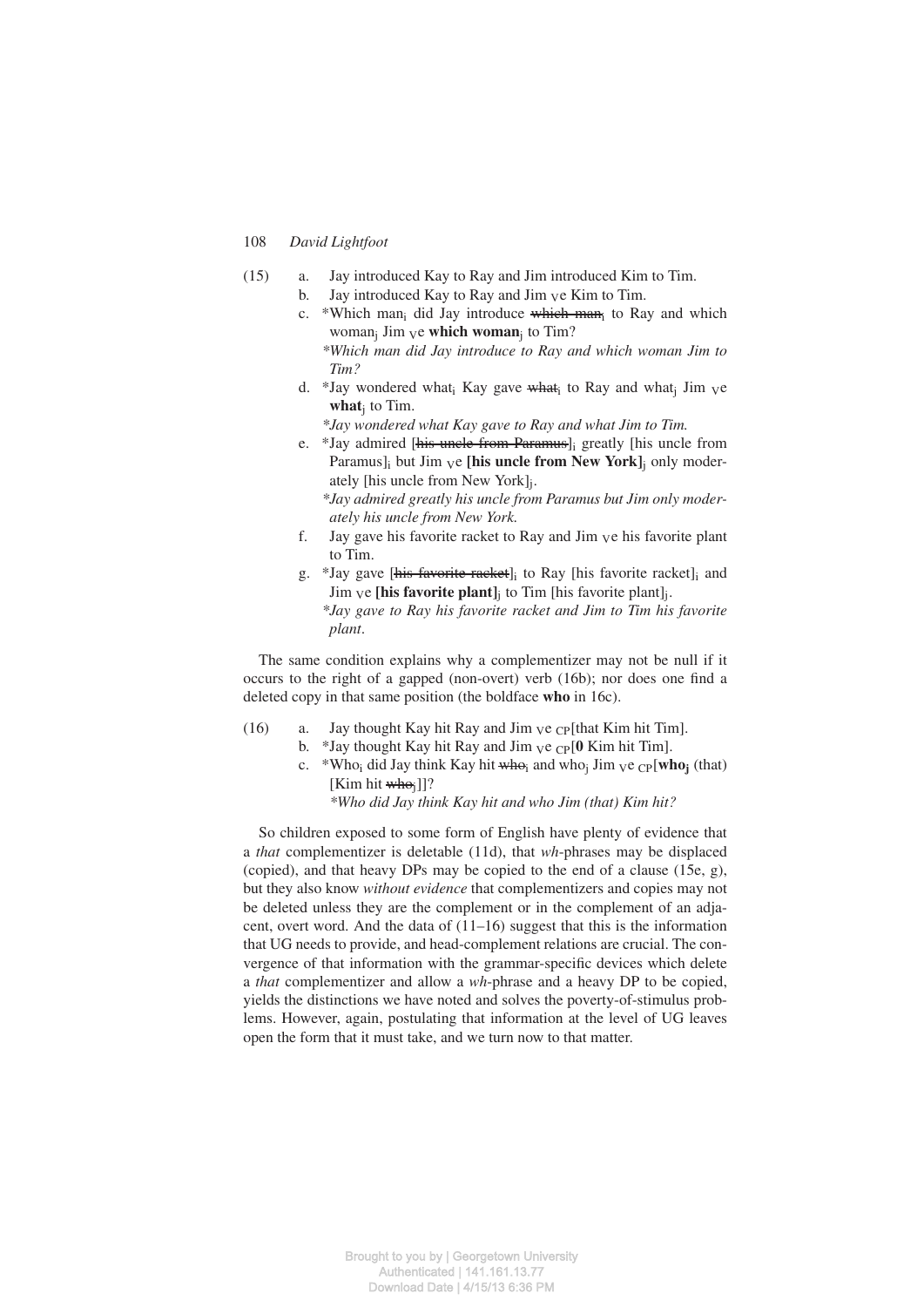- (15) a. Jay introduced Kay to Ray and Jim introduced Kim to Tim. b. Jay introduced Kay to Ray and Jim  $ve$  Kim to Tim.
	- c. \*Which man<sub>i</sub> did Jay introduce which man<sub>i</sub> to Ray and which womanj Jim Ve **which woman**<sup>j</sup> to Tim? *\*Which man did Jay introduce to Ray and which woman Jim to Tim?*
	- d. \*Jay wondered what Kay gave what to Ray and what Jim  $ve$ **what**<sup>j</sup> to Tim.

*\*Jay wondered what Kay gave to Ray and what Jim to Tim.*

- e. \*Jay admired [his uncle from Paramus]i greatly [his uncle from Paramus]<sub>i</sub> but Jim <sub>V</sub>e [his uncle from New York]<sub>i</sub> only moderately [his uncle from New York]j. *\*Jay admired greatly his uncle from Paramus but Jim only moder-*
- *ately his uncle from New York.* f. Jay gave his favorite racket to Ray and Jim  $\vee$  e his favorite plant to Tim.
- g. \*Jay gave [his favorite racket]i to Ray [his favorite racket]i and Jim <sub>V</sub>e **[his favorite plant]**; to Tim [his favorite plant]; *\*Jay gave to Ray his favorite racket and Jim to Tim his favorite plant*.

The same condition explains why a complementizer may not be null if it occurs to the right of a gapped (non-overt) verb (16b); nor does one find a deleted copy in that same position (the boldface **who** in 16c).

- (16) a. Jay thought Kay hit Ray and Jim  $ve$  c<sub>P</sub>[that Kim hit Tim].
	- b. \*Jay thought Kay hit Ray and Jim  $ve$   $CP[0$  Kim hit Tim].
	- c. \*Who<sub>i</sub> did Jay think Kay hit  $w h o_i$  and who<sub>i</sub> Jim  $v e$  cp[who<sub>i</sub> (that) [Kim hit whoj]]?

*\*Who did Jay think Kay hit and who Jim (that) Kim hit?*

So children exposed to some form of English have plenty of evidence that a *that* complementizer is deletable (11d), that *wh*-phrases may be displaced (copied), and that heavy DPs may be copied to the end of a clause (15e, g), but they also know *without evidence* that complementizers and copies may not be deleted unless they are the complement or in the complement of an adjacent, overt word. And the data of (11–16) suggest that this is the information that UG needs to provide, and head-complement relations are crucial. The convergence of that information with the grammar-specific devices which delete a *that* complementizer and allow a *wh*-phrase and a heavy DP to be copied, yields the distinctions we have noted and solves the poverty-of-stimulus problems. However, again, postulating that information at the level of UG leaves open the form that it must take, and we turn now to that matter.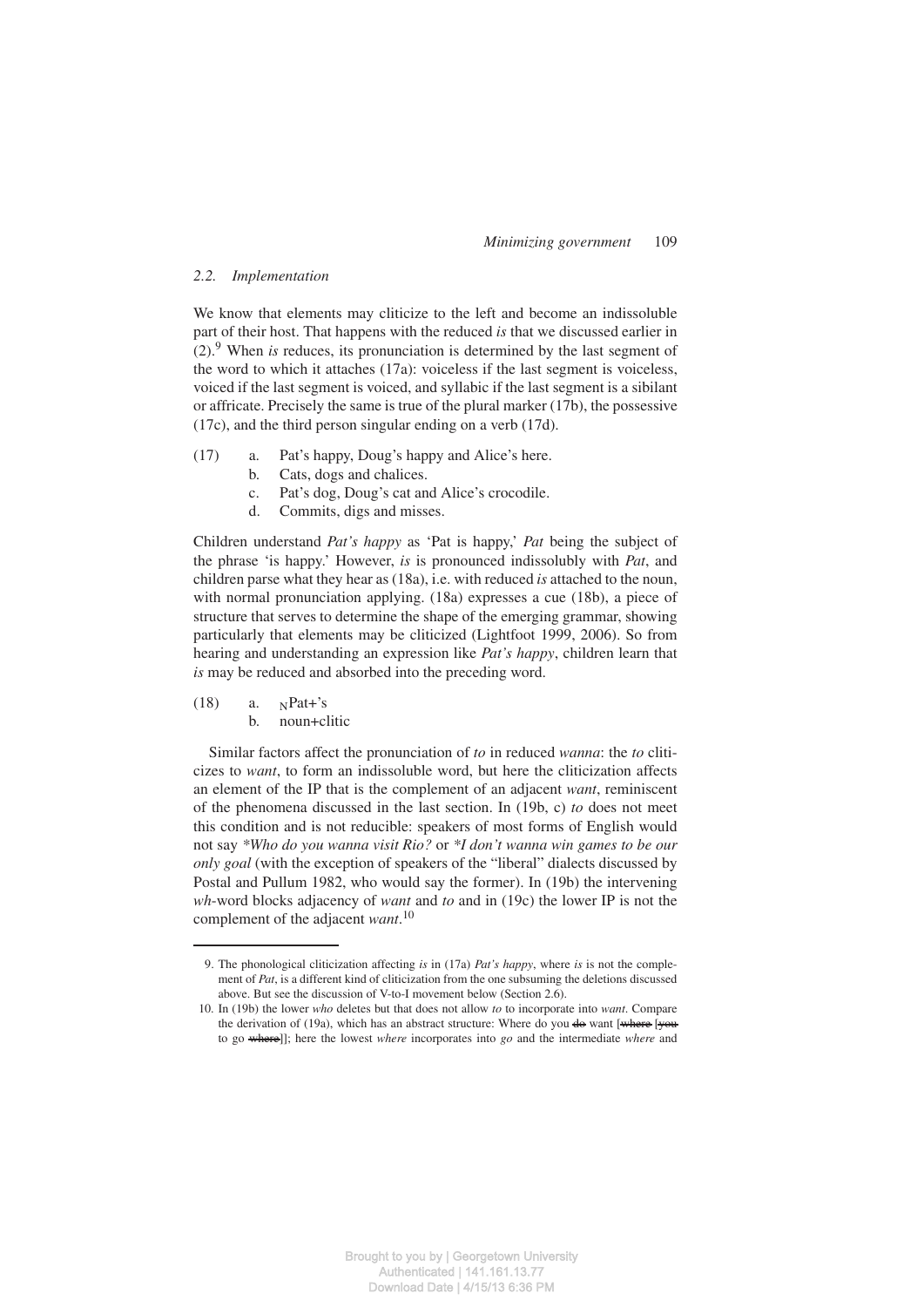#### *2.2. Implementation*

We know that elements may cliticize to the left and become an indissoluble part of their host. That happens with the reduced *is* that we discussed earlier in (2).<sup>9</sup> When *is* reduces, its pronunciation is determined by the last segment of the word to which it attaches (17a): voiceless if the last segment is voiceless, voiced if the last segment is voiced, and syllabic if the last segment is a sibilant or affricate. Precisely the same is true of the plural marker (17b), the possessive (17c), and the third person singular ending on a verb (17d).

- (17) a. Pat's happy, Doug's happy and Alice's here.
	- b. Cats, dogs and chalices.
	- c. Pat's dog, Doug's cat and Alice's crocodile.
	- d. Commits, digs and misses.

Children understand *Pat's happy* as 'Pat is happy,' *Pat* being the subject of the phrase 'is happy.' However, *is* is pronounced indissolubly with *Pat*, and children parse what they hear as (18a), i.e. with reduced *is* attached to the noun, with normal pronunciation applying. (18a) expresses a cue (18b), a piece of structure that serves to determine the shape of the emerging grammar, showing particularly that elements may be cliticized (Lightfoot 1999, 2006). So from hearing and understanding an expression like *Pat's happy*, children learn that *is* may be reduced and absorbed into the preceding word.

 $(18)$  a.  $N$ Pat+'s b. noun+clitic

Similar factors affect the pronunciation of *to* in reduced *wanna*: the *to* cliticizes to *want*, to form an indissoluble word, but here the cliticization affects an element of the IP that is the complement of an adjacent *want*, reminiscent of the phenomena discussed in the last section. In (19b, c) *to* does not meet this condition and is not reducible: speakers of most forms of English would not say *\*Who do you wanna visit Rio?* or *\*I don't wanna win games to be our only goal* (with the exception of speakers of the "liberal" dialects discussed by Postal and Pullum 1982, who would say the former). In (19b) the intervening *wh*-word blocks adjacency of *want* and *to* and in (19c) the lower IP is not the complement of the adjacent *want*. 10

<sup>9.</sup> The phonological cliticization affecting *is* in (17a) *Pat's happy*, where *is* is not the complement of *Pat*, is a different kind of cliticization from the one subsuming the deletions discussed above. But see the discussion of V-to-I movement below (Section 2.6).

<sup>10.</sup> In (19b) the lower *who* deletes but that does not allow *to* to incorporate into *want*. Compare the derivation of (19a), which has an abstract structure: Where do you do want [where [you to go where]]; here the lowest *where* incorporates into *go* and the intermediate *where* and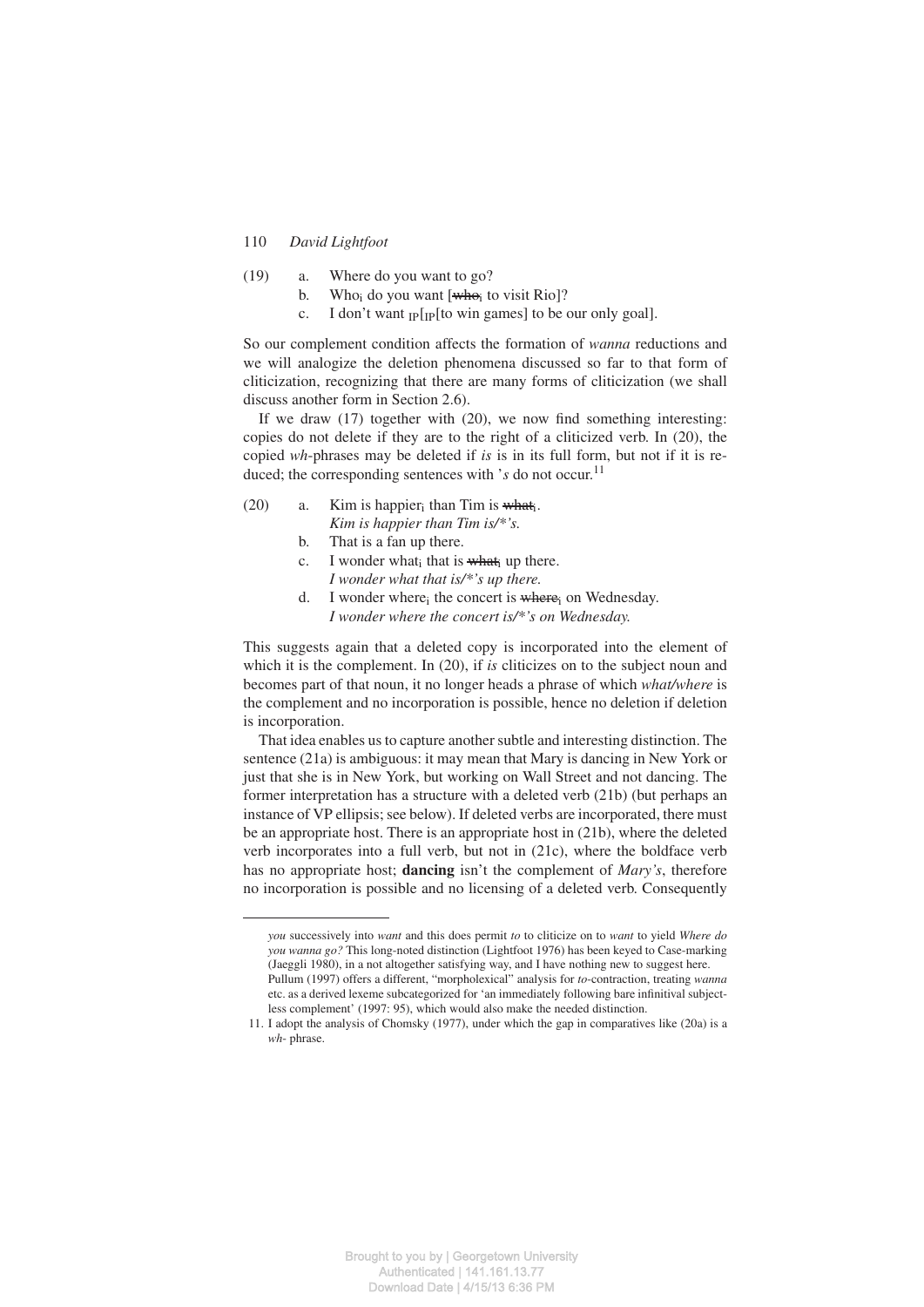#### (19) a. Where do you want to go?

- b. Who<sub>i</sub> do you want  $[\overline{\text{whe}}_i \text{ to visit } Ri]$ ?
- c. I don't want  $_{IP}$ [ $_{IP}$ [to win games] to be our only goal].

So our complement condition affects the formation of *wanna* reductions and we will analogize the deletion phenomena discussed so far to that form of cliticization, recognizing that there are many forms of cliticization (we shall discuss another form in Section 2.6).

If we draw (17) together with (20), we now find something interesting: copies do not delete if they are to the right of a cliticized verb. In (20), the copied *wh*-phrases may be deleted if *is* is in its full form, but not if it is reduced; the corresponding sentences with 's do not occur.<sup>11</sup>

- (20) a. Kim is happier<sub>i</sub> than Tim is  $\frac{1}{2}$ . *Kim is happier than Tim is/\*'s.*
	- b. That is a fan up there.
	- c. I wonder what is  $\frac{1}{2}$  that is what up there.
	- *I wonder what that is/\*'s up there.*
	- d. I wonder where i the concert is where i on Wednesday. *I wonder where the concert is/\*'s on Wednesday.*

This suggests again that a deleted copy is incorporated into the element of which it is the complement. In (20), if *is* cliticizes on to the subject noun and becomes part of that noun, it no longer heads a phrase of which *what/where* is the complement and no incorporation is possible, hence no deletion if deletion is incorporation.

That idea enables us to capture another subtle and interesting distinction. The sentence (21a) is ambiguous: it may mean that Mary is dancing in New York or just that she is in New York, but working on Wall Street and not dancing. The former interpretation has a structure with a deleted verb (21b) (but perhaps an instance of VP ellipsis; see below). If deleted verbs are incorporated, there must be an appropriate host. There is an appropriate host in (21b), where the deleted verb incorporates into a full verb, but not in (21c), where the boldface verb has no appropriate host; **dancing** isn't the complement of *Mary's*, therefore no incorporation is possible and no licensing of a deleted verb. Consequently

*you* successively into *want* and this does permit *to* to cliticize on to *want* to yield *Where do you wanna go?* This long-noted distinction (Lightfoot 1976) has been keyed to Case-marking (Jaeggli 1980), in a not altogether satisfying way, and I have nothing new to suggest here. Pullum (1997) offers a different, "morpholexical" analysis for *to*-contraction, treating *wanna* etc. as a derived lexeme subcategorized for 'an immediately following bare infinitival subjectless complement' (1997: 95), which would also make the needed distinction.

<sup>11.</sup> I adopt the analysis of Chomsky (1977), under which the gap in comparatives like (20a) is a *wh*- phrase.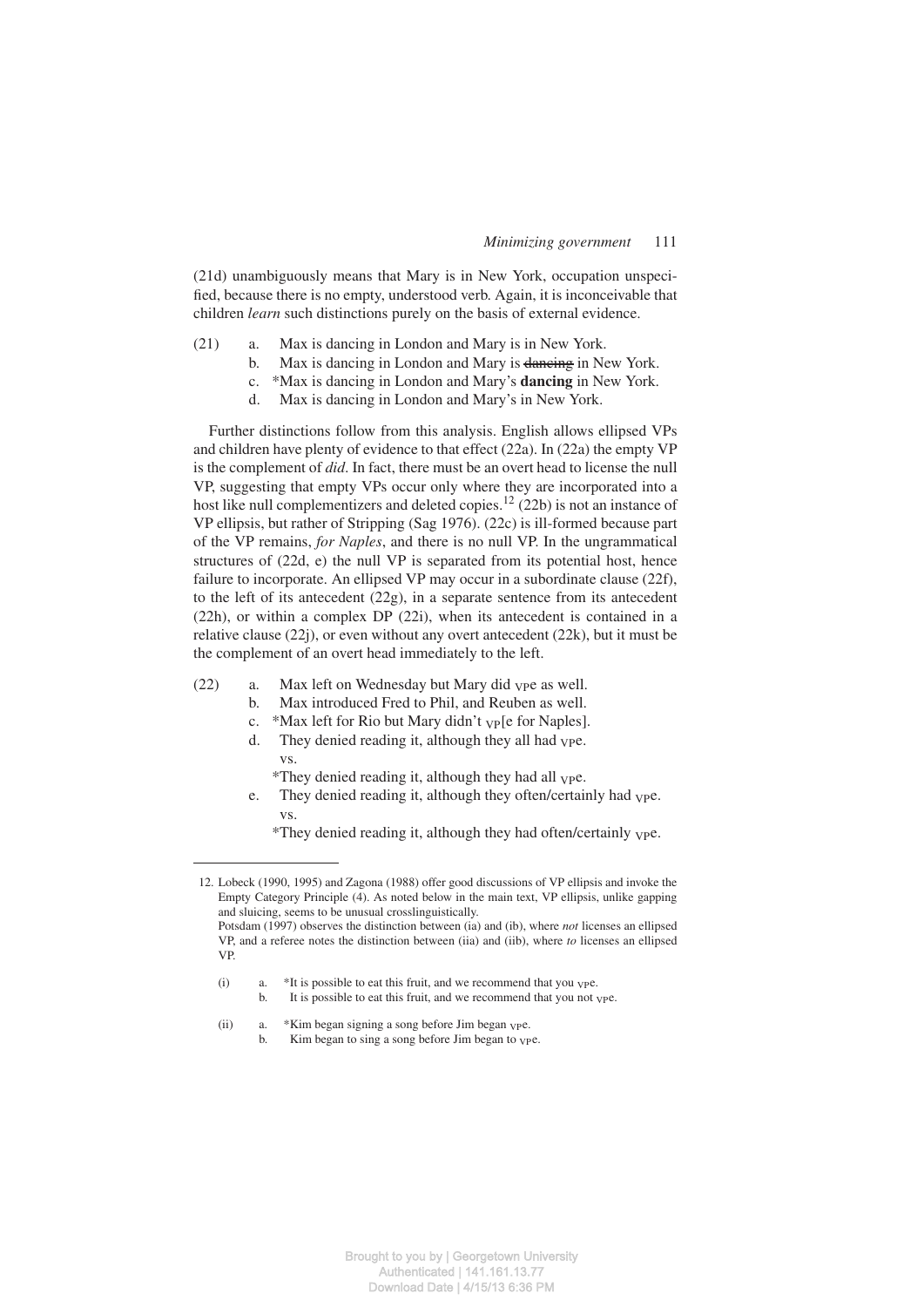(21d) unambiguously means that Mary is in New York, occupation unspecified, because there is no empty, understood verb. Again, it is inconceivable that children *learn* such distinctions purely on the basis of external evidence.

- (21) a. Max is dancing in London and Mary is in New York.
	- b. Max is dancing in London and Mary is dancing in New York.
	- c. \*Max is dancing in London and Mary's **dancing** in New York.
	- d. Max is dancing in London and Mary's in New York.

Further distinctions follow from this analysis. English allows ellipsed VPs and children have plenty of evidence to that effect (22a). In (22a) the empty VP is the complement of *did*. In fact, there must be an overt head to license the null VP, suggesting that empty VPs occur only where they are incorporated into a host like null complementizers and deleted copies.<sup>12</sup> (22b) is not an instance of VP ellipsis, but rather of Stripping (Sag 1976). (22c) is ill-formed because part of the VP remains, *for Naples*, and there is no null VP. In the ungrammatical structures of (22d, e) the null VP is separated from its potential host, hence failure to incorporate. An ellipsed VP may occur in a subordinate clause (22f), to the left of its antecedent (22g), in a separate sentence from its antecedent (22h), or within a complex DP (22i), when its antecedent is contained in a relative clause (22j), or even without any overt antecedent (22k), but it must be the complement of an overt head immediately to the left.

 $(22)$  a. Max left on Wednesday but Mary did  $_{VPC}$  as well.

- b. Max introduced Fred to Phil, and Reuben as well.
- c. \*Max left for Rio but Mary didn't  $_{VP}$ [e for Naples].
- d. They denied reading it, although they all had  $_{VP}$ . vs.

\*They denied reading it, although they had all <sub>VP</sub>e.

e. They denied reading it, although they often/certainly had  $_{\rm VPC}$ . vs.

\*They denied reading it, although they had often/certainly vpe.

<sup>12.</sup> Lobeck (1990, 1995) and Zagona (1988) offer good discussions of VP ellipsis and invoke the Empty Category Principle (4). As noted below in the main text, VP ellipsis, unlike gapping and sluicing, seems to be unusual crosslinguistically. Potsdam (1997) observes the distinction between (ia) and (ib), where *not* licenses an ellipsed VP, and a referee notes the distinction between (iia) and (iib), where *to* licenses an ellipsed

VP. (i) a.  $*$ It is possible to eat this fruit, and we recommend that you vertex the state is possible to eat this fruit and we recommend that you not

It is possible to eat this fruit, and we recommend that you not  $vpe$ .

<sup>(</sup>ii) a. \*Kim began signing a song before Jim began  $_{VP}$ e. b. Kim began to sing a song before Jim began to  $vpe$ .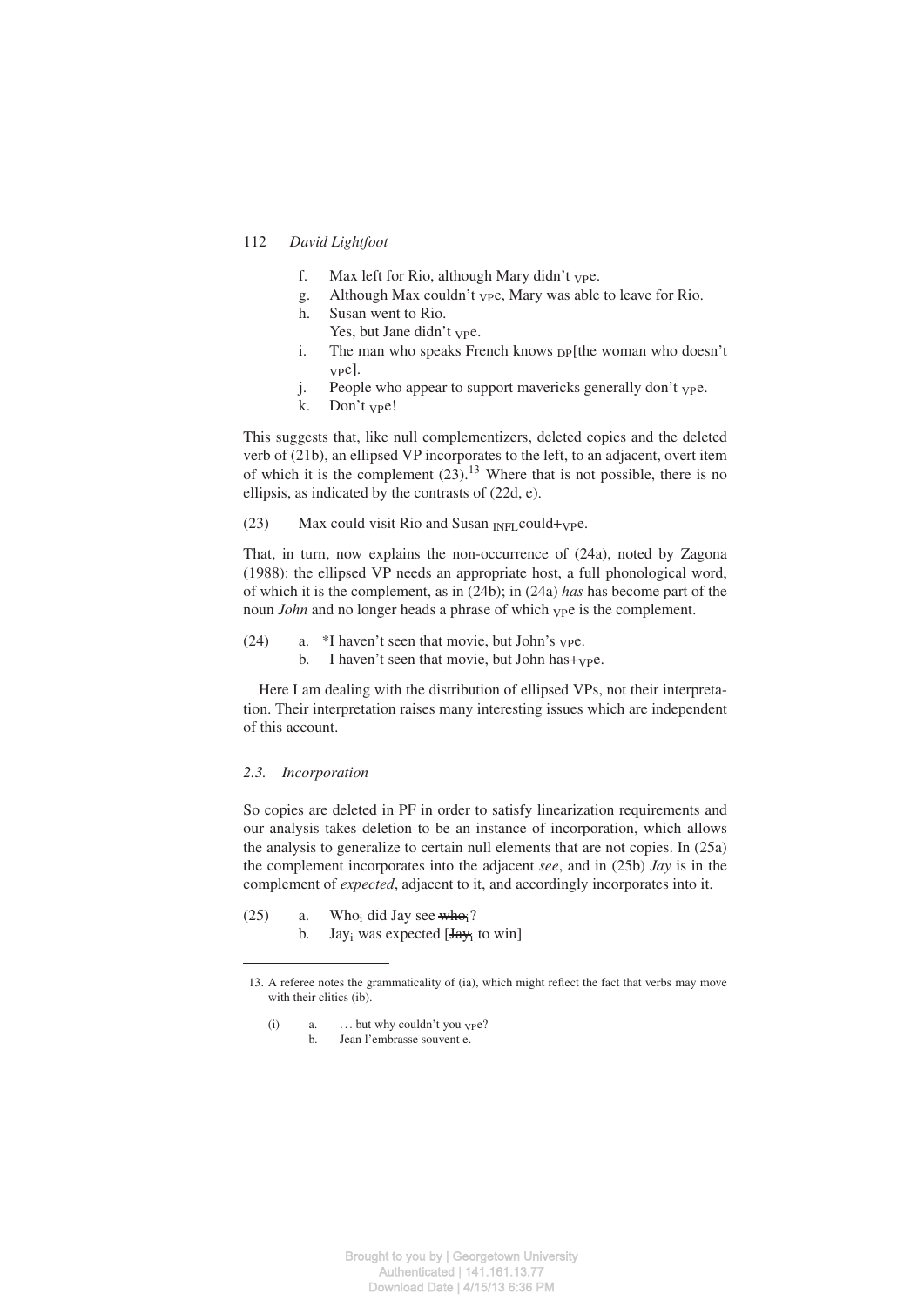- f. Max left for Rio, although Mary didn't  $_{VP}$ e.
- g. Although Max couldn't  $_{\text{VPE}}$ , Mary was able to leave for Rio.
- h. Susan went to Rio.
- Yes, but Jane didn't vpe.
- i. The man who speaks French knows  $_{DP}$ [the woman who doesn't v<sub>pe</sub>l.
- j. People who appear to support mavericks generally don't  $_{\rm VPC}$ .
- k. Don't vpe!

This suggests that, like null complementizers, deleted copies and the deleted verb of (21b), an ellipsed VP incorporates to the left, to an adjacent, overt item of which it is the complement  $(23)$ .<sup>13</sup> Where that is not possible, there is no ellipsis, as indicated by the contrasts of (22d, e).

(23) Max could visit Rio and Susan  $_{\text{INFL}}$ could+<sub>VP</sub>e.

That, in turn, now explains the non-occurrence of (24a), noted by Zagona (1988): the ellipsed VP needs an appropriate host, a full phonological word, of which it is the complement, as in (24b); in (24a) *has* has become part of the noun *John* and no longer heads a phrase of which <sub>VP</sub>e is the complement.

- $(24)$  a. \*I haven't seen that movie, but John's <sub>VP</sub>e.
	- b. I haven't seen that movie, but John has + $vpe$ .

Here I am dealing with the distribution of ellipsed VPs, not their interpretation. Their interpretation raises many interesting issues which are independent of this account.

## *2.3. Incorporation*

So copies are deleted in PF in order to satisfy linearization requirements and our analysis takes deletion to be an instance of incorporation, which allows the analysis to generalize to certain null elements that are not copies. In (25a) the complement incorporates into the adjacent *see*, and in (25b) *Jay* is in the complement of *expected*, adjacent to it, and accordingly incorporates into it.

- (25) a. Who<sub>i</sub> did Jay see who<sub>i</sub>?
	- b. Jay<sub>i</sub> was expected  $[\frac{J_{\text{ay}}}{J_{\text{ay}}}$  to win]

(i) a.  $\ldots$  but why couldn't you  $_{\text{VP}}e$ ? b. Jean l'embrasse souvent e.

<sup>13.</sup> A referee notes the grammaticality of (ia), which might reflect the fact that verbs may move with their clitics (ib).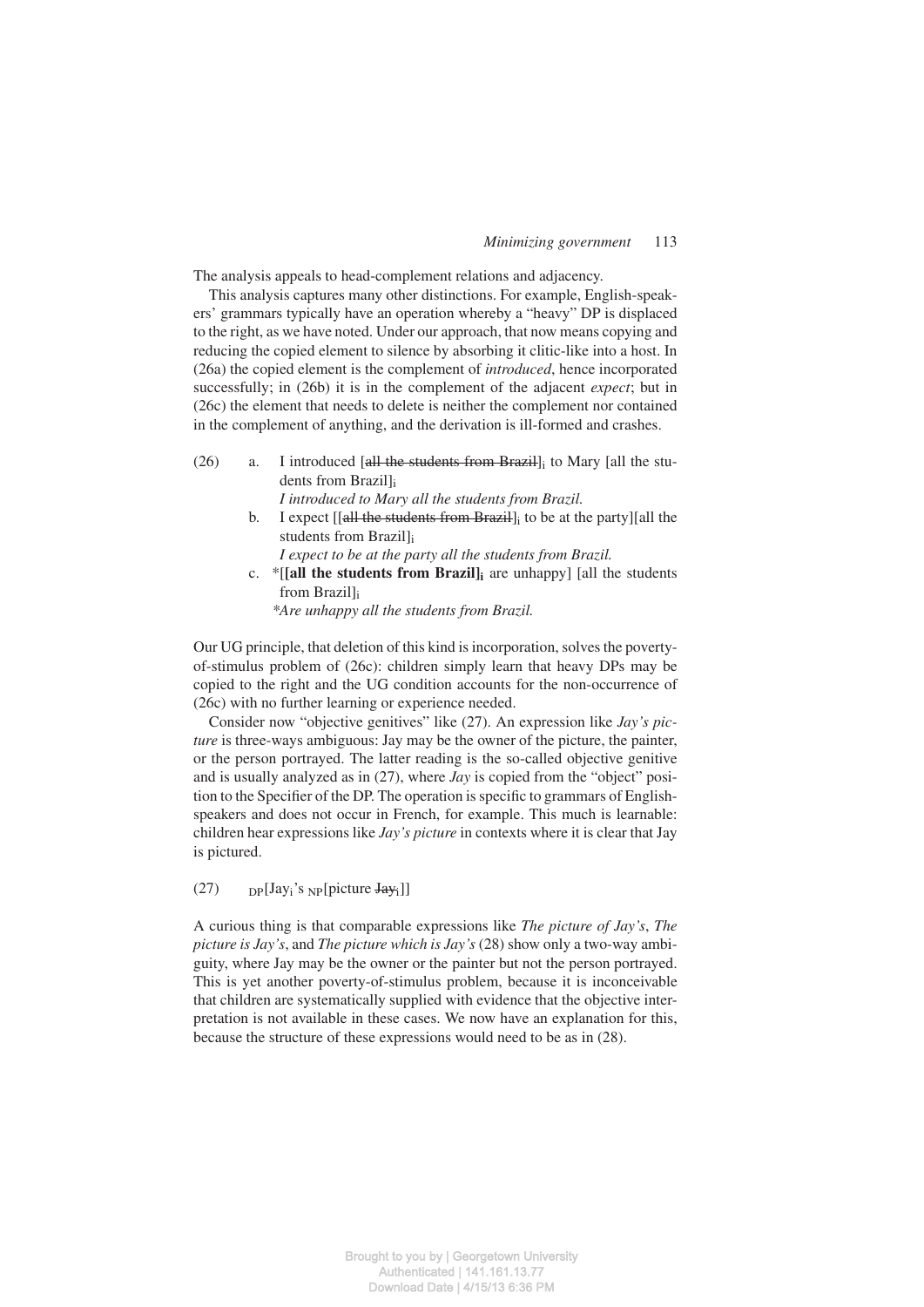The analysis appeals to head-complement relations and adjacency.

This analysis captures many other distinctions. For example, English-speakers' grammars typically have an operation whereby a "heavy" DP is displaced to the right, as we have noted. Under our approach, that now means copying and reducing the copied element to silence by absorbing it clitic-like into a host. In (26a) the copied element is the complement of *introduced*, hence incorporated successfully; in (26b) it is in the complement of the adjacent *expect*; but in (26c) the element that needs to delete is neither the complement nor contained in the complement of anything, and the derivation is ill-formed and crashes.

 $(26)$  a. I introduced [all the students from Brazil]; to Mary [all the students from Brazil]i

*I introduced to Mary all the students from Brazil.*

b. I expect  $[[a]]$  the students from Brazil is to be at the party is all the students from Brazil]i

*I expect to be at the party all the students from Brazil.*

c. \*[**[all the students from Brazil]i** are unhappy] [all the students from Brazil]i

*\*Are unhappy all the students from Brazil.*

Our UG principle, that deletion of this kind is incorporation, solves the povertyof-stimulus problem of (26c): children simply learn that heavy DPs may be copied to the right and the UG condition accounts for the non-occurrence of (26c) with no further learning or experience needed.

Consider now "objective genitives" like (27). An expression like *Jay's picture* is three-ways ambiguous: Jay may be the owner of the picture, the painter, or the person portrayed. The latter reading is the so-called objective genitive and is usually analyzed as in (27), where *Jay* is copied from the "object" position to the Specifier of the DP. The operation is specific to grammars of Englishspeakers and does not occur in French, for example. This much is learnable: children hear expressions like *Jay's picture* in contexts where it is clear that Jay is pictured.

(27)  $DP[Jay_i's NP[picture \frac{Hay_i}{]}]$ 

A curious thing is that comparable expressions like *The picture of Jay's*, *The picture is Jay's*, and *The picture which is Jay's* (28) show only a two-way ambiguity, where Jay may be the owner or the painter but not the person portrayed. This is yet another poverty-of-stimulus problem, because it is inconceivable that children are systematically supplied with evidence that the objective interpretation is not available in these cases. We now have an explanation for this, because the structure of these expressions would need to be as in (28).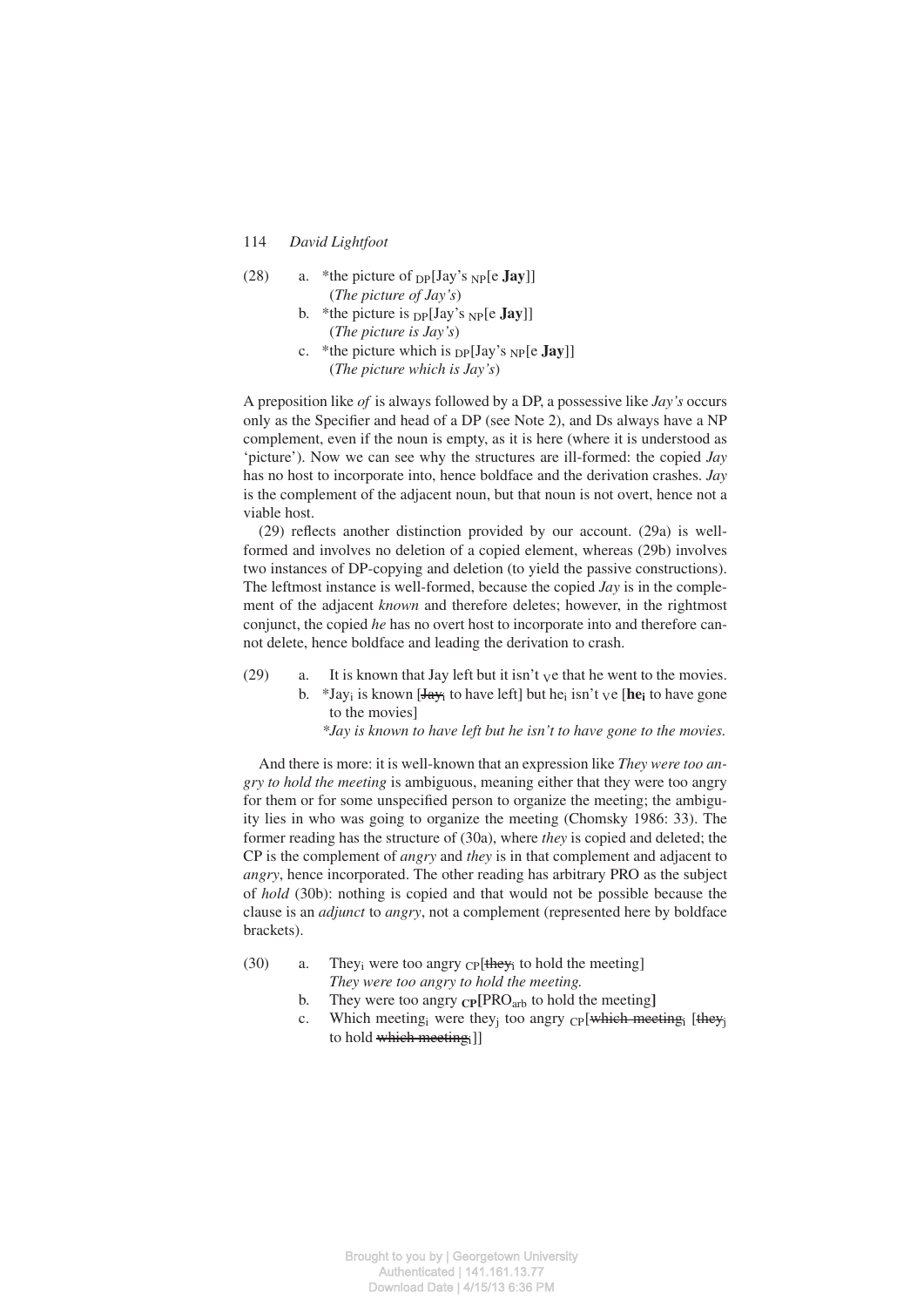- (28) a. \*the picture of  $_{DP}$ [Jay's <sub>NP</sub>[e **Jay**]] (*The picture of Jay's*)
	- b. \*the picture is  $_{DP}$ [Jay's <sub>NP</sub>[e **Jay**]] (*The picture is Jay's*)
	- c. \*the picture which is  $_{DP}[\text{Jay's }_{NP}[\text{e } \text{Jay}]]$ (*The picture which is Jay's*)

A preposition like *of* is always followed by a DP, a possessive like *Jay's* occurs only as the Specifier and head of a DP (see Note 2), and Ds always have a NP complement, even if the noun is empty, as it is here (where it is understood as 'picture'). Now we can see why the structures are ill-formed: the copied *Jay* has no host to incorporate into, hence boldface and the derivation crashes. *Jay* is the complement of the adjacent noun, but that noun is not overt, hence not a viable host.

(29) reflects another distinction provided by our account. (29a) is wellformed and involves no deletion of a copied element, whereas (29b) involves two instances of DP-copying and deletion (to yield the passive constructions). The leftmost instance is well-formed, because the copied *Jay* is in the complement of the adjacent *known* and therefore deletes; however, in the rightmost conjunct, the copied *he* has no overt host to incorporate into and therefore cannot delete, hence boldface and leading the derivation to crash.

(29) a. It is known that Jay left but it isn't ve that he went to the movies. b. \*Jay<sub>i</sub> is known [ $\frac{J_{\text{ay}}}{I}$  to have left] but he<sub>i</sub> isn't <sub>V</sub>e [he<sub>i</sub> to have gone to the movies]

*\*Jay is known to have left but he isn't to have gone to the movies.*

And there is more: it is well-known that an expression like *They were too angry to hold the meeting* is ambiguous, meaning either that they were too angry for them or for some unspecified person to organize the meeting; the ambiguity lies in who was going to organize the meeting (Chomsky 1986: 33). The former reading has the structure of (30a), where *they* is copied and deleted; the CP is the complement of *angry* and *they* is in that complement and adjacent to *angry*, hence incorporated. The other reading has arbitrary PRO as the subject of *hold* (30b): nothing is copied and that would not be possible because the clause is an *adjunct* to *angry*, not a complement (represented here by boldface brackets).

- (30) a. They<sub>i</sub> were too angry  $\text{CP}[\text{they}_1]$  to hold the meeting] *They were too angry to hold the meeting.*
	- b. They were too angry **CP[**PROarb to hold the meeting**]**
	- c. Which meeting<sub>i</sub> were they<sub>j</sub> too angry  $_{CP}$ [which meeting<sub>i</sub> [they<sub>j</sub>] to hold which meeting<sub>i</sub>]]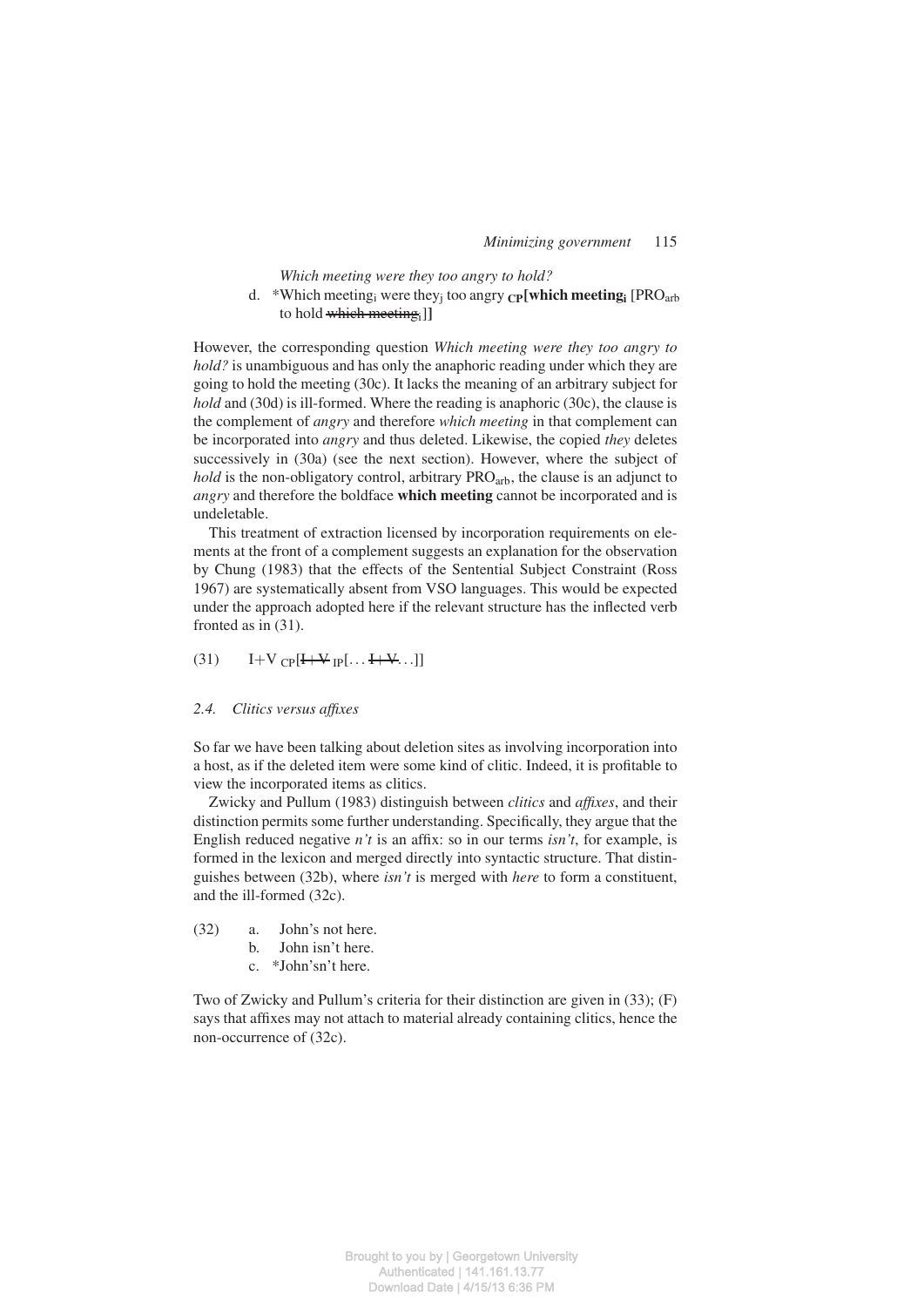*Which meeting were they too angry to hold?*

d. \*Which meetingi were theyj too angry **CP[which meetingi** [PROarb to hold which meetingi]**]**

However, the corresponding question *Which meeting were they too angry to hold?* is unambiguous and has only the anaphoric reading under which they are going to hold the meeting (30c). It lacks the meaning of an arbitrary subject for *hold* and (30d) is ill-formed. Where the reading is anaphoric (30c), the clause is the complement of *angry* and therefore *which meeting* in that complement can be incorporated into *angry* and thus deleted. Likewise, the copied *they* deletes successively in (30a) (see the next section). However, where the subject of *hold* is the non-obligatory control, arbitrary PRO<sub>arb</sub>, the clause is an adjunct to *angry* and therefore the boldface **which meeting** cannot be incorporated and is undeletable.

This treatment of extraction licensed by incorporation requirements on elements at the front of a complement suggests an explanation for the observation by Chung (1983) that the effects of the Sentential Subject Constraint (Ross 1967) are systematically absent from VSO languages. This would be expected under the approach adopted here if the relevant structure has the inflected verb fronted as in (31).

(31)  $I+V$  cp[ $\cancel{I+V}$  Ip[...  $\cancel{I+V}$ ...]]

#### *2.4. Clitics versus affixes*

So far we have been talking about deletion sites as involving incorporation into a host, as if the deleted item were some kind of clitic. Indeed, it is profitable to view the incorporated items as clitics.

Zwicky and Pullum (1983) distinguish between *clitics* and *affixes*, and their distinction permits some further understanding. Specifically, they argue that the English reduced negative *n't* is an affix: so in our terms *isn't*, for example, is formed in the lexicon and merged directly into syntactic structure. That distinguishes between (32b), where *isn't* is merged with *here* to form a constituent, and the ill-formed (32c).

- (32) a. John's not here.
	- b. John isn't here.
		- c. \*John'sn't here.

Two of Zwicky and Pullum's criteria for their distinction are given in (33); (F) says that affixes may not attach to material already containing clitics, hence the non-occurrence of (32c).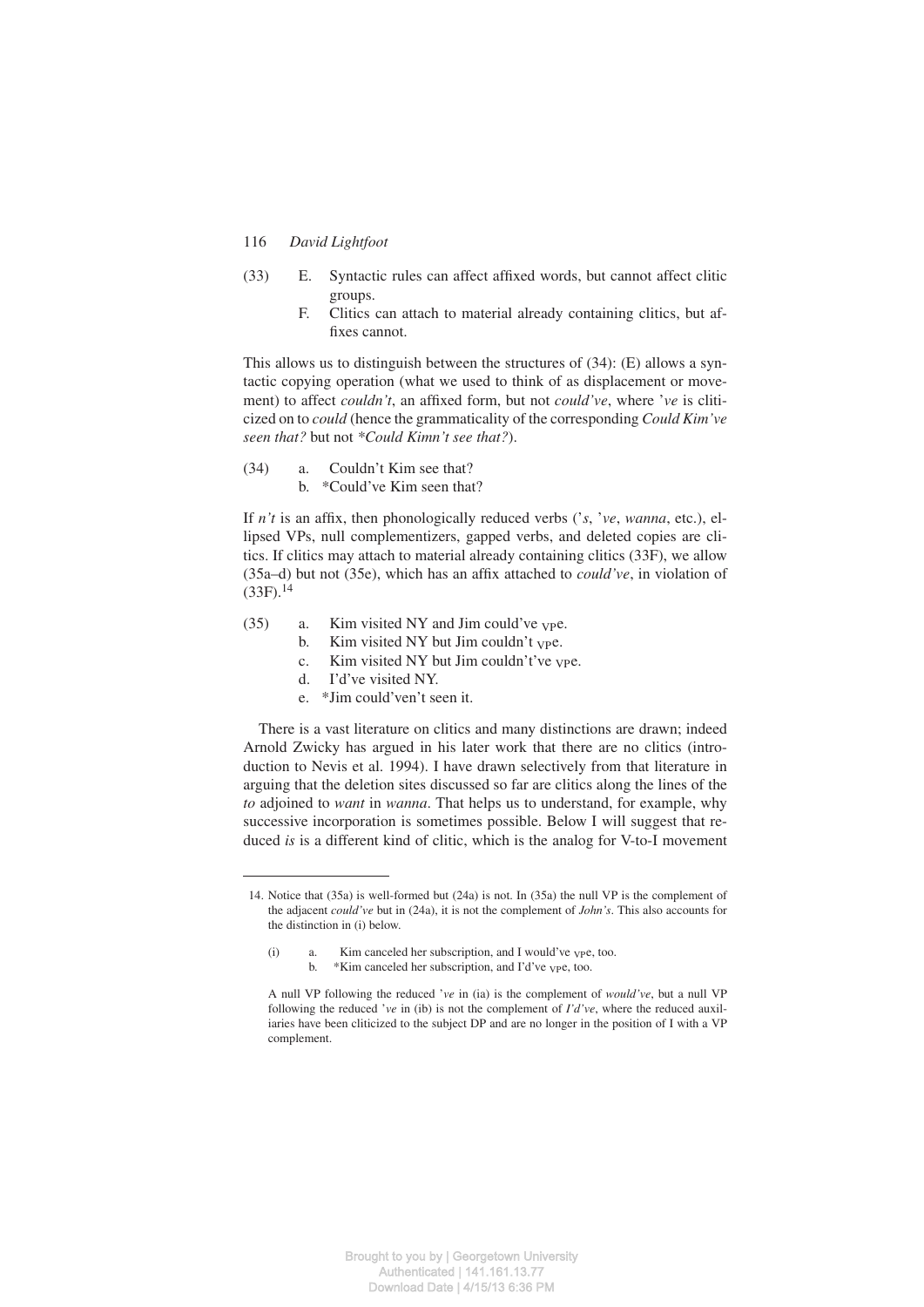- (33) E. Syntactic rules can affect affixed words, but cannot affect clitic groups.
	- F. Clitics can attach to material already containing clitics, but affixes cannot.

This allows us to distinguish between the structures of (34): (E) allows a syntactic copying operation (what we used to think of as displacement or movement) to affect *couldn't*, an affixed form, but not *could've*, where '*ve* is cliticized on to *could* (hence the grammaticality of the corresponding *Could Kim've seen that?* but not *\*Could Kimn't see that?*).

(34) a. Couldn't Kim see that? b. \*Could've Kim seen that?

If *n't* is an affix, then phonologically reduced verbs ('*s*, '*ve*, *wanna*, etc.), ellipsed VPs, null complementizers, gapped verbs, and deleted copies are clitics. If clitics may attach to material already containing clitics (33F), we allow (35a–d) but not (35e), which has an affix attached to *could've*, in violation of  $(33F).$ <sup>14</sup>

- $(35)$  a. Kim visited NY and Jim could've  $_{VP}$ e.
	- b. Kim visited NY but Jim couldn't  $_{\text{VPE}}$ .
	- c. Kim visited NY but Jim couldn't've  $_{VP}$ e.
	- d. I'd've visited NY.
	- e. \*Jim could'ven't seen it.

There is a vast literature on clitics and many distinctions are drawn; indeed Arnold Zwicky has argued in his later work that there are no clitics (introduction to Nevis et al. 1994). I have drawn selectively from that literature in arguing that the deletion sites discussed so far are clitics along the lines of the *to* adjoined to *want* in *wanna*. That helps us to understand, for example, why successive incorporation is sometimes possible. Below I will suggest that reduced *is* is a different kind of clitic, which is the analog for V-to-I movement

<sup>14.</sup> Notice that (35a) is well-formed but (24a) is not. In (35a) the null VP is the complement of the adjacent *could've* but in (24a), it is not the complement of *John's*. This also accounts for the distinction in (i) below.

<sup>(</sup>i) a. Kim canceled her subscription, and I would've  $vpe$ , too.<br>b. \*Kim canceled her subscription, and I'd've  $vpe$ , too. \*Kim canceled her subscription, and I'd've <sub>VP</sub>e, too.

A null VP following the reduced '*ve* in (ia) is the complement of *would've*, but a null VP following the reduced '*ve* in (ib) is not the complement of *I'd've*, where the reduced auxiliaries have been cliticized to the subject DP and are no longer in the position of I with a VP complement.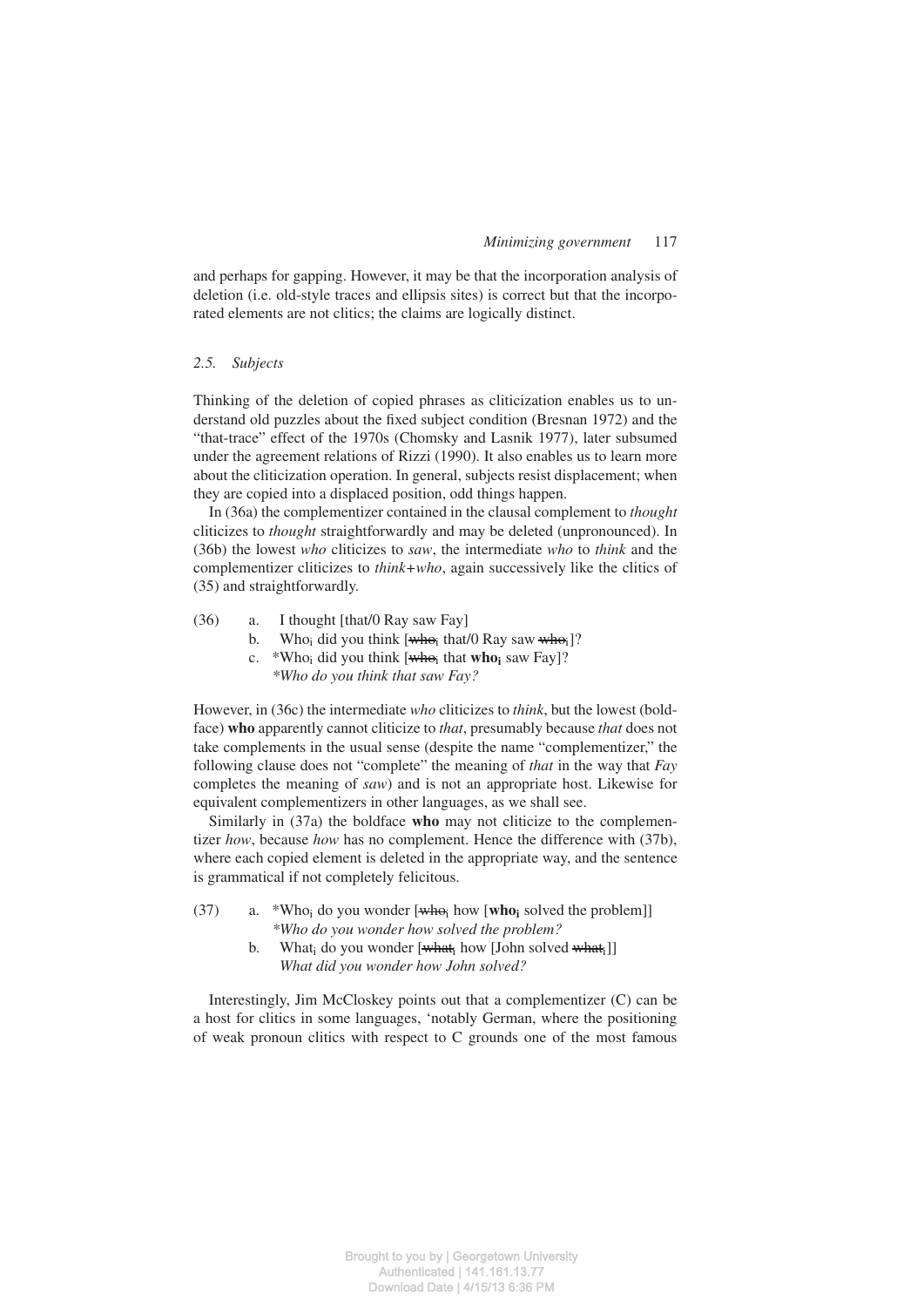and perhaps for gapping. However, it may be that the incorporation analysis of deletion (i.e. old-style traces and ellipsis sites) is correct but that the incorporated elements are not clitics; the claims are logically distinct.

## *2.5. Subjects*

Thinking of the deletion of copied phrases as cliticization enables us to understand old puzzles about the fixed subject condition (Bresnan 1972) and the "that-trace" effect of the 1970s (Chomsky and Lasnik 1977), later subsumed under the agreement relations of Rizzi (1990). It also enables us to learn more about the cliticization operation. In general, subjects resist displacement; when they are copied into a displaced position, odd things happen.

In (36a) the complementizer contained in the clausal complement to *thought* cliticizes to *thought* straightforwardly and may be deleted (unpronounced). In (36b) the lowest *who* cliticizes to *saw*, the intermediate *who* to *think* and the complementizer cliticizes to *think+who*, again successively like the clitics of (35) and straightforwardly.

- (36) a. I thought [that/0 Ray saw Fay]
	- b. Who<sub>i</sub> did you think  $[\overline{\text{who}}_i \text{ that}/0 \text{ Ray saw } \overline{\text{who}}_i]$ ?
	- c. \*Who<sub>i</sub> did you think  $[whe_i]$  that **who**<sub>i</sub> saw Fay]? *\*Who do you think that saw Fay?*

However, in (36c) the intermediate *who* cliticizes to *think*, but the lowest (boldface) **who** apparently cannot cliticize to *that*, presumably because *that* does not take complements in the usual sense (despite the name "complementizer," the following clause does not "complete" the meaning of *that* in the way that *Fay* completes the meaning of *saw*) and is not an appropriate host. Likewise for equivalent complementizers in other languages, as we shall see.

Similarly in (37a) the boldface **who** may not cliticize to the complementizer *how*, because *how* has no complement. Hence the difference with (37b), where each copied element is deleted in the appropriate way, and the sentence is grammatical if not completely felicitous.

- (37) a. \*Who<sub>i</sub> do you wonder  $[\overline{\text{whe}}_i \text{ how } [\text{who}_i \text{ solved the problem}]]$ *\*Who do you wonder how solved the problem?*
	- b. What<sub>i</sub> do you wonder [what<sub>i</sub> how [John solved what<sub>i</sub>]] *What did you wonder how John solved?*

Interestingly, Jim McCloskey points out that a complementizer (C) can be a host for clitics in some languages, 'notably German, where the positioning of weak pronoun clitics with respect to C grounds one of the most famous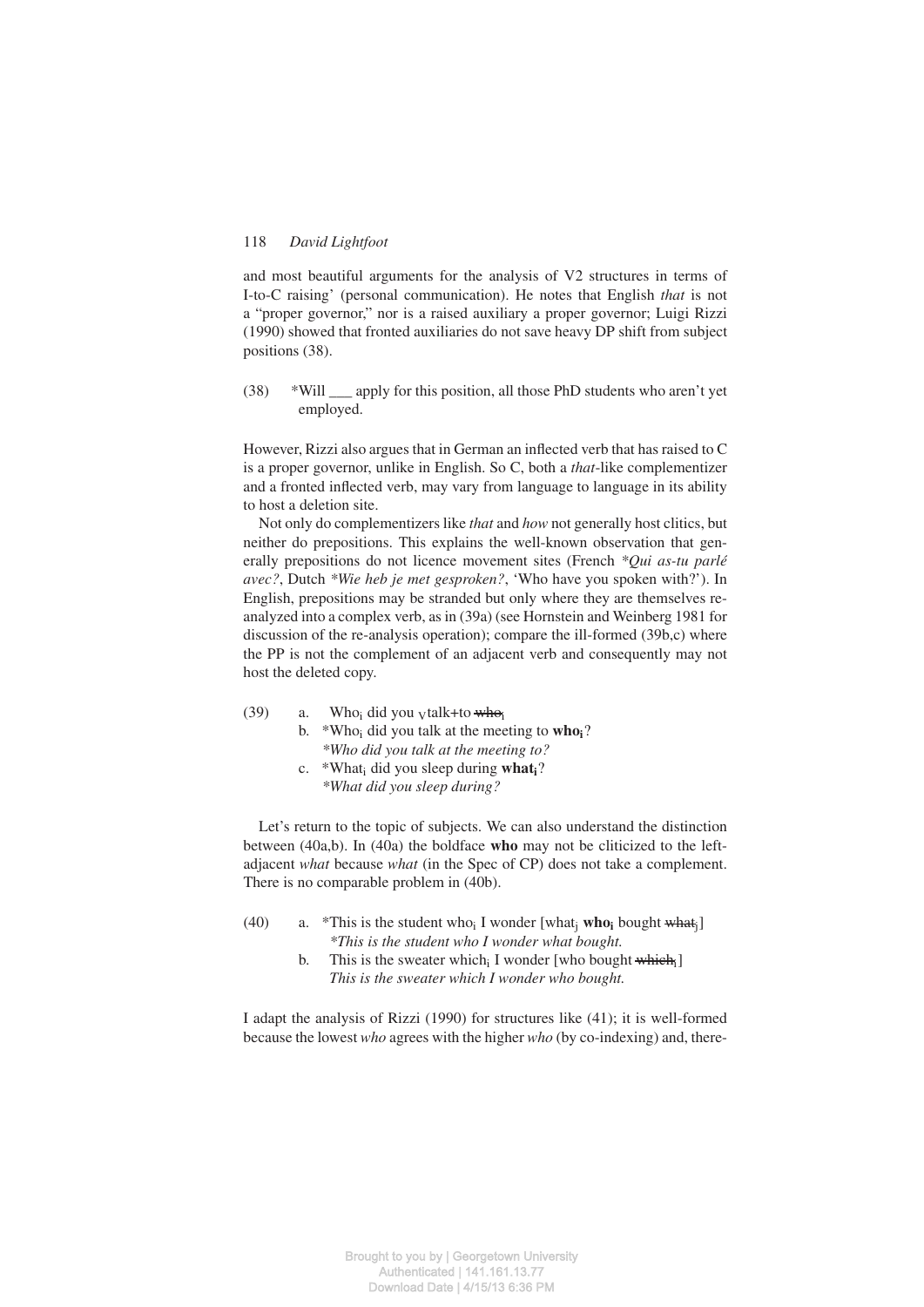and most beautiful arguments for the analysis of V2 structures in terms of I-to-C raising' (personal communication). He notes that English *that* is not a "proper governor," nor is a raised auxiliary a proper governor; Luigi Rizzi (1990) showed that fronted auxiliaries do not save heavy DP shift from subject positions (38).

(38) \*Will \_\_\_ apply for this position, all those PhD students who aren't yet employed.

However, Rizzi also argues that in German an inflected verb that has raised to C is a proper governor, unlike in English. So C, both a *that*-like complementizer and a fronted inflected verb, may vary from language to language in its ability to host a deletion site.

Not only do complementizers like *that* and *how* not generally host clitics, but neither do prepositions. This explains the well-known observation that generally prepositions do not licence movement sites (French *\*Qui as-tu parlé avec?*, Dutch *\*Wie heb je met gesproken?*, 'Who have you spoken with?'). In English, prepositions may be stranded but only where they are themselves reanalyzed into a complex verb, as in (39a) (see Hornstein and Weinberg 1981 for discussion of the re-analysis operation); compare the ill-formed (39b,c) where the PP is not the complement of an adjacent verb and consequently may not host the deleted copy.

- (39) a. Who<sub>i</sub> did you vtalk+to who<sub>i</sub>
	- b. \*Whoi did you talk at the meeting to **whoi**? *\*Who did you talk at the meeting to?*
	- c. \*Whati did you sleep during **whati**? *\*What did you sleep during?*

Let's return to the topic of subjects. We can also understand the distinction between (40a,b). In (40a) the boldface **who** may not be cliticized to the leftadjacent *what* because *what* (in the Spec of CP) does not take a complement. There is no comparable problem in (40b).

- (40) a. \*This is the student who<sub>i</sub> I wonder [what<sub>i</sub> who<sub>i</sub> bought  $\frac{1}{2}$ ] *\*This is the student who I wonder what bought.*
	- b. This is the sweater which I wonder [who bought which ] *This is the sweater which I wonder who bought.*

I adapt the analysis of Rizzi (1990) for structures like (41); it is well-formed because the lowest *who* agrees with the higher *who* (by co-indexing) and, there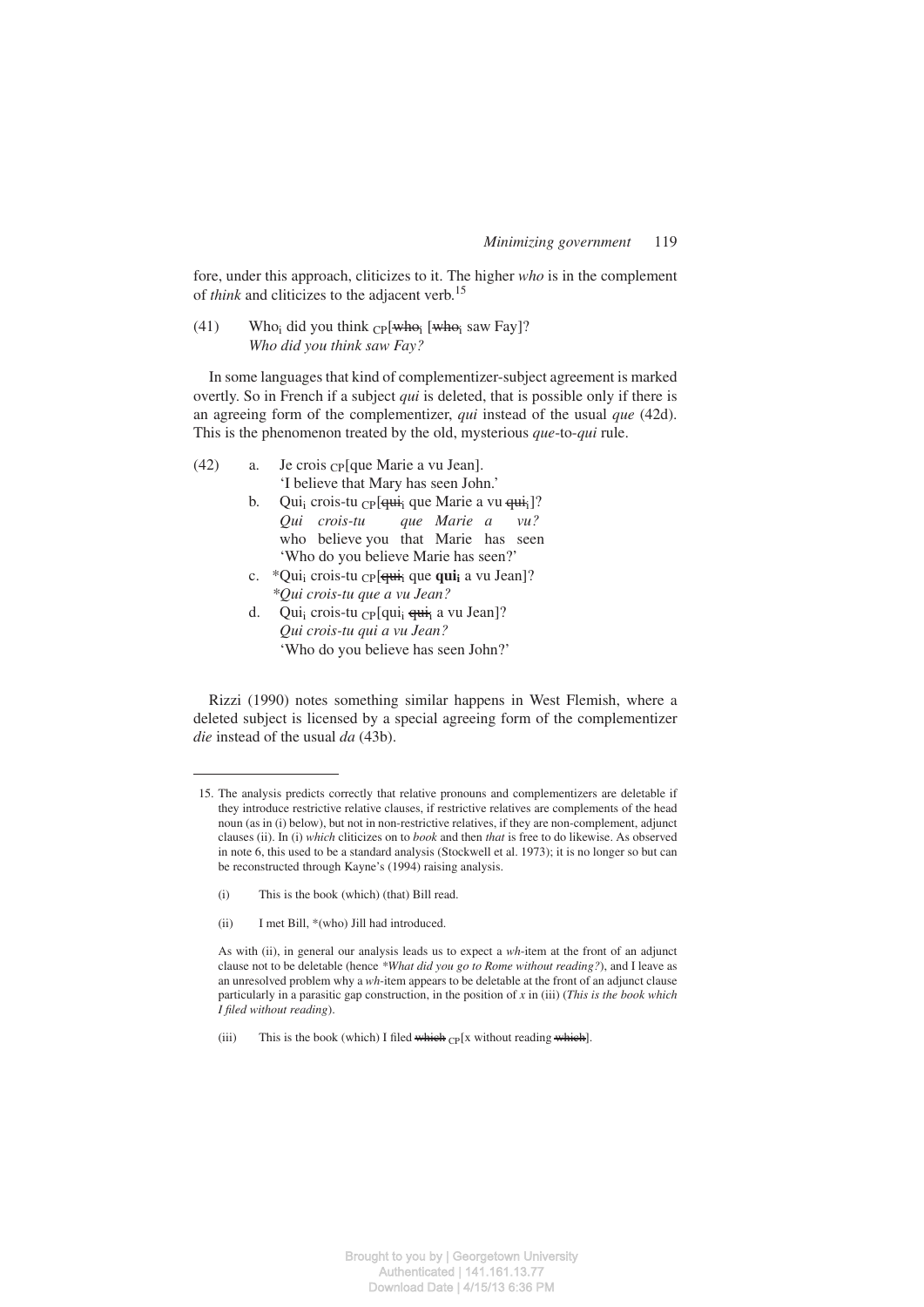fore, under this approach, cliticizes to it. The higher *who* is in the complement of *think* and cliticizes to the adjacent verb.<sup>15</sup>

## (41) Who<sub>i</sub> did you think  $_{\text{CP}}[\text{whe}_i \text{ [whe}_i \text{ saw Fay} ]]$ ? *Who did you think saw Fay?*

In some languages that kind of complementizer-subject agreement is marked overtly. So in French if a subject *qui* is deleted, that is possible only if there is an agreeing form of the complementizer, *qui* instead of the usual *que* (42d). This is the phenomenon treated by the old, mysterious *que*-to-*qui* rule.

| (42) | a. | Je crois <sub>CP</sub> [que Marie a vu Jean].                                                            |
|------|----|----------------------------------------------------------------------------------------------------------|
|      |    | 'I believe that Mary has seen John.'                                                                     |
|      | b. | Qui <sub>i</sub> crois-tu <sub>CP</sub> $\left[\frac{q}{q}u_i\right]$ que Marie a vu $\frac{q}{q}u_i$ ]? |
|      |    | Qui crois-tu que Marie a<br>$vu$ ?                                                                       |
|      |    | who believe you that Marie has seen                                                                      |
|      |    | 'Who do you believe Marie has seen?'                                                                     |
|      |    | c. *Qui <sub>i</sub> crois-tu $_{\rm CP}$ [ $_{\rm qui_i}$ que qui <sub>i</sub> a vu Jean]?              |
|      |    | *Qui crois-tu que a vu Jean?                                                                             |
|      | d. | Qui <sub>i</sub> crois-tu cp[qui <sub>i</sub> qui <sub>i</sub> a vu Jean]?                               |
|      |    | Qui crois-tu qui a vu Jean?                                                                              |
|      |    | 'Who do you believe has seen John?'                                                                      |
|      |    |                                                                                                          |

Rizzi (1990) notes something similar happens in West Flemish, where a deleted subject is licensed by a special agreeing form of the complementizer *die* instead of the usual *da* (43b).

- (i) This is the book (which) (that) Bill read.
- (ii) I met Bill, \*(who) Jill had introduced.

<sup>15.</sup> The analysis predicts correctly that relative pronouns and complementizers are deletable if they introduce restrictive relative clauses, if restrictive relatives are complements of the head noun (as in (i) below), but not in non-restrictive relatives, if they are non-complement, adjunct clauses (ii). In (i) *which* cliticizes on to *book* and then *that* is free to do likewise. As observed in note 6, this used to be a standard analysis (Stockwell et al. 1973); it is no longer so but can be reconstructed through Kayne's (1994) raising analysis.

As with (ii), in general our analysis leads us to expect a *wh*-item at the front of an adjunct clause not to be deletable (hence *\*What did you go to Rome without reading?*), and I leave as an unresolved problem why a *wh*-item appears to be deletable at the front of an adjunct clause particularly in a parasitic gap construction, in the position of *x* in (iii) (*This is the book which I filed without reading*).

<sup>(</sup>iii) This is the book (which) I filed which  $\text{CP}[x]$  without reading which].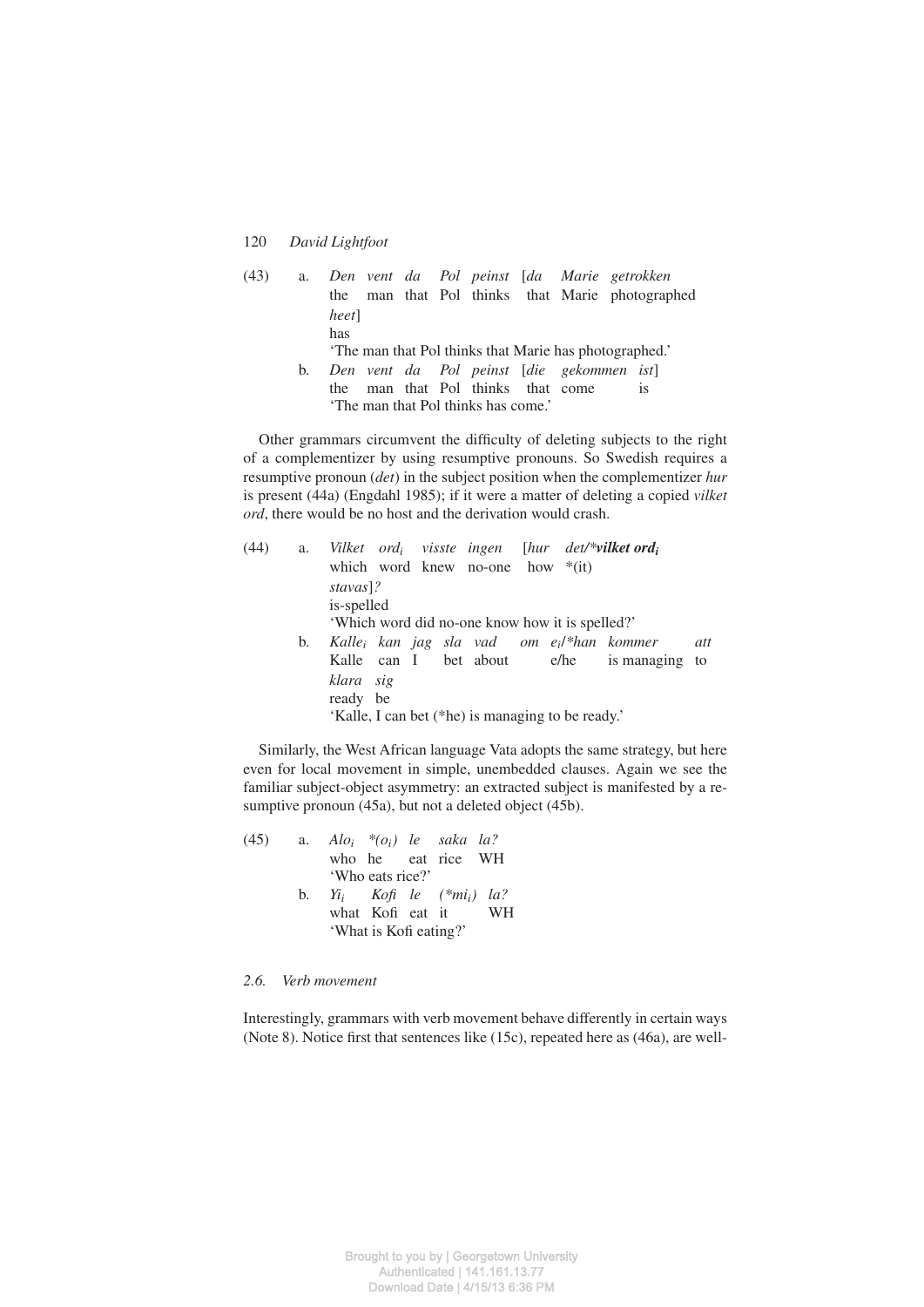(43) a. *Den* the man that Pol thinks that Marie photographed *vent da Pol peinst* [*da Marie getrokken heet*] has 'The man that Pol thinks that Marie has photographed.' b. *Den vent da Pol peinst* [*die gekommen ist*] the man that Pol thinks that come is 'The man that Pol thinks has come.'

Other grammars circumvent the difficulty of deleting subjects to the right of a complementizer by using resumptive pronouns. So Swedish requires a resumptive pronoun (*det*) in the subject position when the complementizer *hur* is present (44a) (Engdahl 1985); if it were a matter of deleting a copied *vilket ord*, there would be no host and the derivation would crash.

| (44) |    | a. Vilket ord <sub>i</sub> visste ingen [hur det/*vilket ord <sub>i</sub><br>which word knew no-one how $*(it)$ |
|------|----|-----------------------------------------------------------------------------------------------------------------|
|      |    | stavas]?                                                                                                        |
|      |    | is-spelled                                                                                                      |
|      |    | 'Which word did no-one know how it is spelled?'                                                                 |
|      | b. | Kalle <sub>i</sub> kan jag sla vad om e <sub>i</sub> /*han kommer<br>att                                        |
|      |    | Kalle can I bet about e/he is managing to                                                                       |
|      |    | klara sig                                                                                                       |
|      |    | ready be                                                                                                        |
|      |    | 'Kalle, I can bet (*he) is managing to be ready.'                                                               |

Similarly, the West African language Vata adopts the same strategy, but here even for local movement in simple, unembedded clauses. Again we see the familiar subject-object asymmetry: an extracted subject is manifested by a resumptive pronoun (45a), but not a deleted object (45b).

(45) a. *Aloi \*(oi) le saka la?* who he eat rice WH 'Who eats rice?' b.  $Y_i$ what Kofi eat it *Kofi le (\*mii) la?* WH 'What is Kofi eating?'

## *2.6. Verb movement*

Interestingly, grammars with verb movement behave differently in certain ways (Note 8). Notice first that sentences like (15c), repeated here as (46a), are well-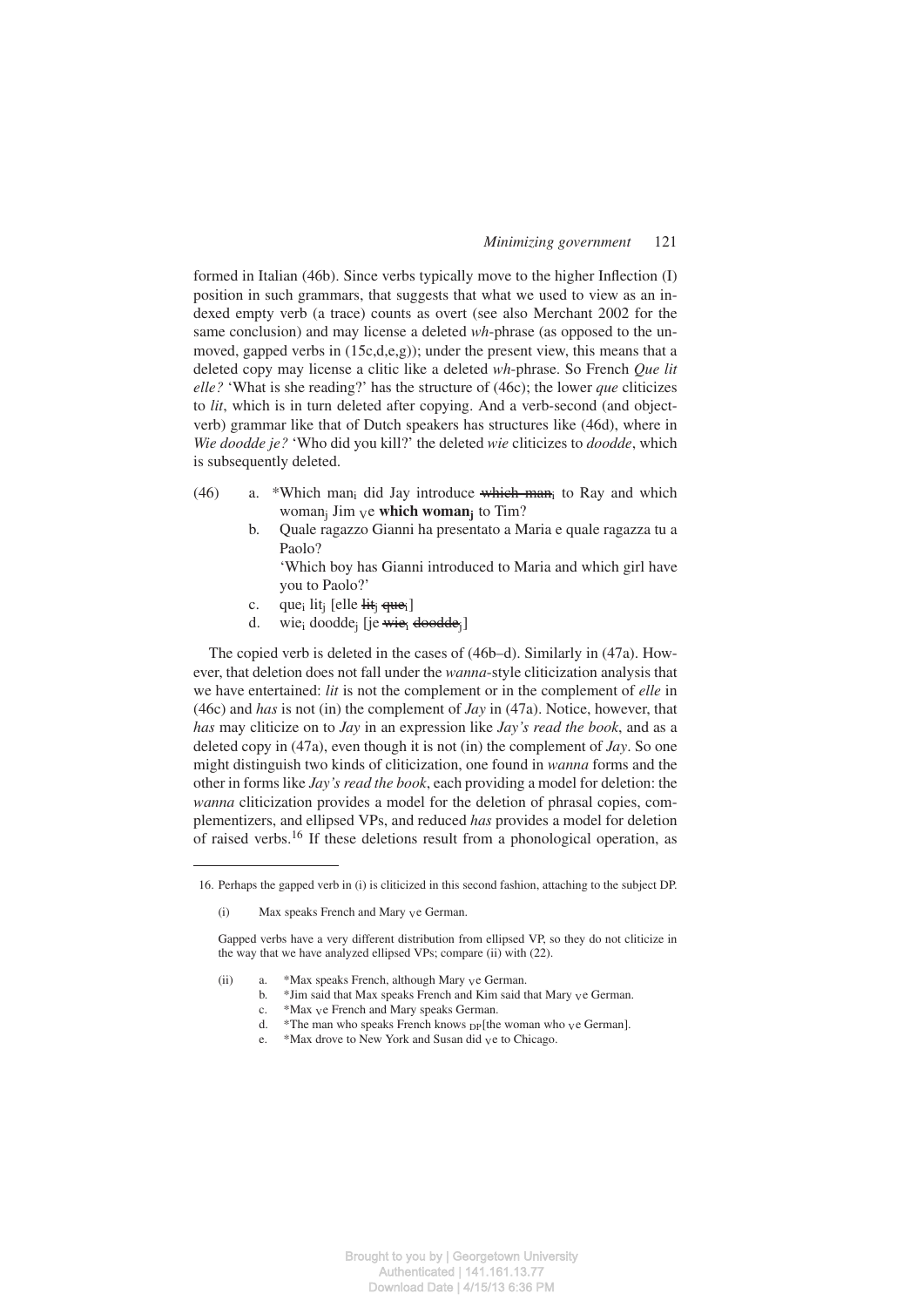formed in Italian (46b). Since verbs typically move to the higher Inflection (I) position in such grammars, that suggests that what we used to view as an indexed empty verb (a trace) counts as overt (see also Merchant 2002 for the same conclusion) and may license a deleted *wh*-phrase (as opposed to the unmoved, gapped verbs in (15c,d,e,g)); under the present view, this means that a deleted copy may license a clitic like a deleted *wh*-phrase. So French *Que lit elle?* 'What is she reading?' has the structure of (46c); the lower *que* cliticizes to *lit*, which is in turn deleted after copying. And a verb-second (and objectverb) grammar like that of Dutch speakers has structures like (46d), where in *Wie doodde je?* 'Who did you kill?' the deleted *wie* cliticizes to *doodde*, which is subsequently deleted.

- (46) a. \*Which man<sub>i</sub> did Jay introduce which man<sub>i</sub> to Ray and which woman<sub>i</sub> Jim  $\psi$ **e which woman**<sub>i</sub> to Tim?
	- b. Quale ragazzo Gianni ha presentato a Maria e quale ragazza tu a Paolo?

'Which boy has Gianni introduced to Maria and which girl have you to Paolo?'

- c. que<sub>i</sub> lit<sub>i</sub> [elle  $\frac{1}{1}$ <sub>iti</sub>  $\frac{1}{1}$
- d. wie: doodde; lie wie: doodde;

The copied verb is deleted in the cases of (46b–d). Similarly in (47a). However, that deletion does not fall under the *wanna*-style cliticization analysis that we have entertained: *lit* is not the complement or in the complement of *elle* in (46c) and *has* is not (in) the complement of *Jay* in (47a). Notice, however, that *has* may cliticize on to *Jay* in an expression like *Jay's read the book*, and as a deleted copy in (47a), even though it is not (in) the complement of *Jay*. So one might distinguish two kinds of cliticization, one found in *wanna* forms and the other in forms like *Jay's read the book*, each providing a model for deletion: the *wanna* cliticization provides a model for the deletion of phrasal copies, complementizers, and ellipsed VPs, and reduced *has* provides a model for deletion of raised verbs.<sup>16</sup> If these deletions result from a phonological operation, as

- d. \*The man who speaks French knows  $_{DP}$ [the woman who ve German].
- e. \*Max drove to New York and Susan did ye to Chicago.

<sup>16.</sup> Perhaps the gapped verb in (i) is cliticized in this second fashion, attaching to the subject DP.

 $(i)$  Max speaks French and Mary  $ve$  German.

Gapped verbs have a very different distribution from ellipsed VP, so they do not cliticize in the way that we have analyzed ellipsed VPs; compare (ii) with (22).

<sup>(</sup>ii) a. \*Max speaks French, although Mary  $\vee$  e German.

b. \*Jim said that Max speaks French and Kim said that Mary Ve German.

b. \*Jim said that Max speaks French and Kim<br>c. \*Max ye French and Mary speaks German.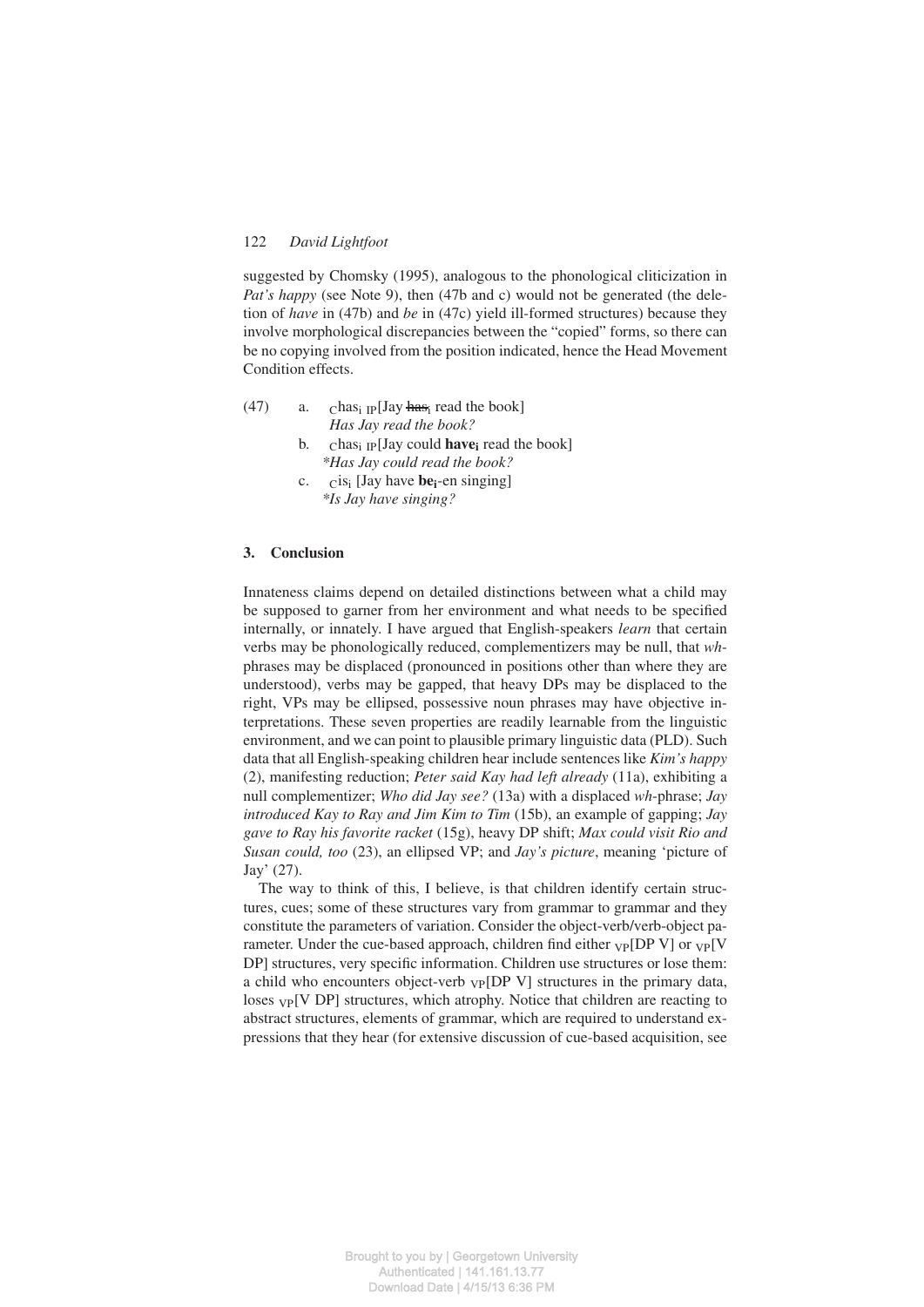suggested by Chomsky (1995), analogous to the phonological cliticization in *Pat's happy* (see Note 9), then (47b and c) would not be generated (the deletion of *have* in (47b) and *be* in (47c) yield ill-formed structures) because they involve morphological discrepancies between the "copied" forms, so there can be no copying involved from the position indicated, hence the Head Movement Condition effects.

- (47) a. chas<sub>i IP</sub>[Jay  $\frac{\text{has}_i}{\text{has}_i}$  read the book] *Has Jay read the book?*
	- b. chas<sub>i IP</sub>[Jay could **have**<sub>i</sub> read the book] *\*Has Jay could read the book?*
	- c. cis<sub>i</sub> [Jay have **be**<sub>i</sub>-en singing] *\*Is Jay have singing?*

## **3. Conclusion**

Innateness claims depend on detailed distinctions between what a child may be supposed to garner from her environment and what needs to be specified internally, or innately. I have argued that English-speakers *learn* that certain verbs may be phonologically reduced, complementizers may be null, that *wh*phrases may be displaced (pronounced in positions other than where they are understood), verbs may be gapped, that heavy DPs may be displaced to the right, VPs may be ellipsed, possessive noun phrases may have objective interpretations. These seven properties are readily learnable from the linguistic environment, and we can point to plausible primary linguistic data (PLD). Such data that all English-speaking children hear include sentences like *Kim's happy* (2), manifesting reduction; *Peter said Kay had left already* (11a), exhibiting a null complementizer; *Who did Jay see?* (13a) with a displaced *wh*-phrase; *Jay introduced Kay to Ray and Jim Kim to Tim* (15b), an example of gapping; *Jay gave to Ray his favorite racket* (15g), heavy DP shift; *Max could visit Rio and Susan could, too* (23), an ellipsed VP; and *Jay's picture*, meaning 'picture of Jay' (27).

The way to think of this, I believe, is that children identify certain structures, cues; some of these structures vary from grammar to grammar and they constitute the parameters of variation. Consider the object-verb/verb-object parameter. Under the cue-based approach, children find either  $_{VP}$ [DP V] or  $_{VP}$ [V] DP] structures, very specific information. Children use structures or lose them: a child who encounters object-verb  $VP[DP V]$  structures in the primary data, loses  $_{VP}$ [V DP] structures, which atrophy. Notice that children are reacting to abstract structures, elements of grammar, which are required to understand expressions that they hear (for extensive discussion of cue-based acquisition, see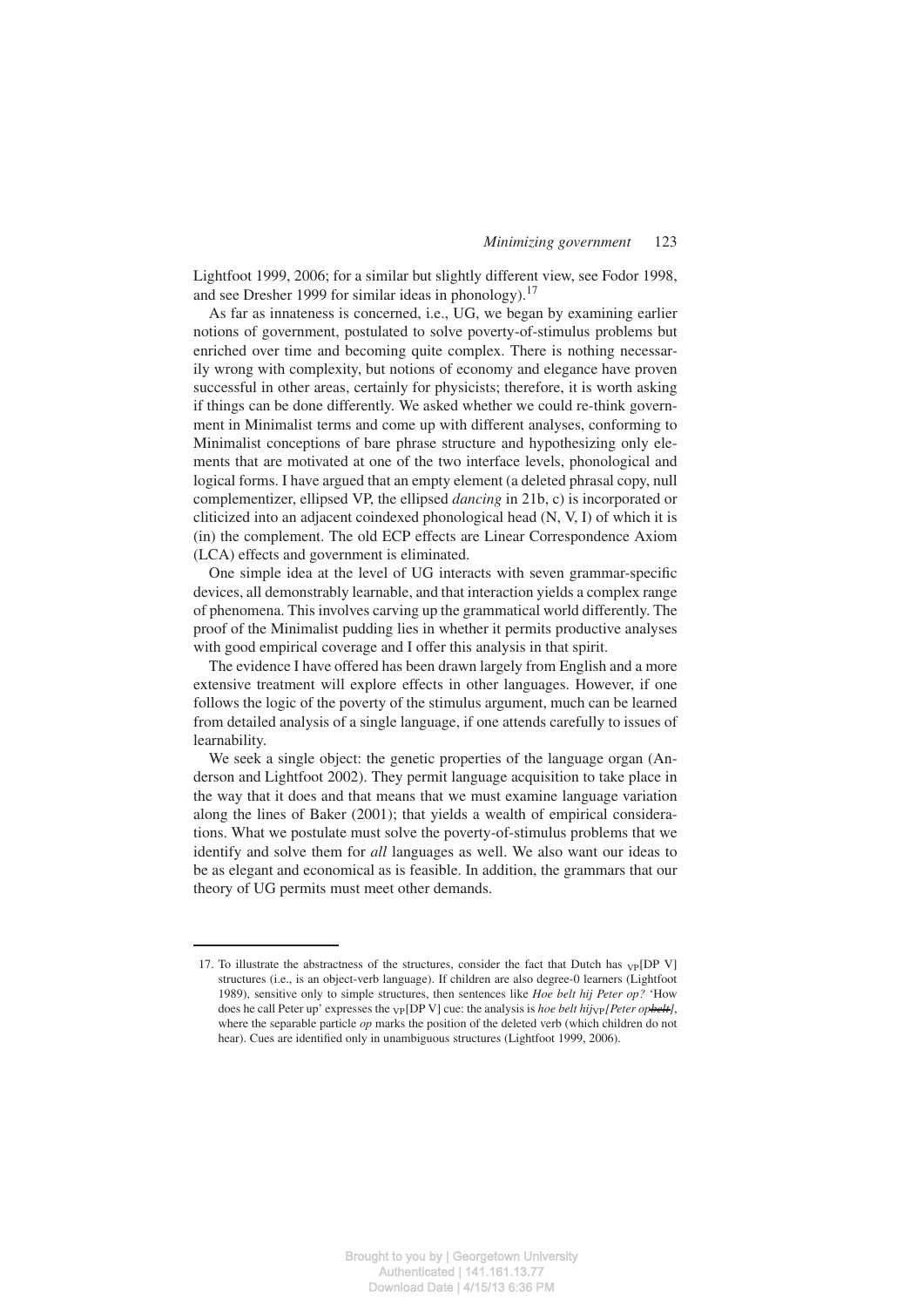Lightfoot 1999, 2006; for a similar but slightly different view, see Fodor 1998, and see Dresher 1999 for similar ideas in phonology).<sup>17</sup>

As far as innateness is concerned, i.e., UG, we began by examining earlier notions of government, postulated to solve poverty-of-stimulus problems but enriched over time and becoming quite complex. There is nothing necessarily wrong with complexity, but notions of economy and elegance have proven successful in other areas, certainly for physicists; therefore, it is worth asking if things can be done differently. We asked whether we could re-think government in Minimalist terms and come up with different analyses, conforming to Minimalist conceptions of bare phrase structure and hypothesizing only elements that are motivated at one of the two interface levels, phonological and logical forms. I have argued that an empty element (a deleted phrasal copy, null complementizer, ellipsed VP, the ellipsed *dancing* in 21b, c) is incorporated or cliticized into an adjacent coindexed phonological head (N, V, I) of which it is (in) the complement. The old ECP effects are Linear Correspondence Axiom (LCA) effects and government is eliminated.

One simple idea at the level of UG interacts with seven grammar-specific devices, all demonstrably learnable, and that interaction yields a complex range of phenomena. This involves carving up the grammatical world differently. The proof of the Minimalist pudding lies in whether it permits productive analyses with good empirical coverage and I offer this analysis in that spirit.

The evidence I have offered has been drawn largely from English and a more extensive treatment will explore effects in other languages. However, if one follows the logic of the poverty of the stimulus argument, much can be learned from detailed analysis of a single language, if one attends carefully to issues of learnability.

We seek a single object: the genetic properties of the language organ (Anderson and Lightfoot 2002). They permit language acquisition to take place in the way that it does and that means that we must examine language variation along the lines of Baker (2001); that yields a wealth of empirical considerations. What we postulate must solve the poverty-of-stimulus problems that we identify and solve them for *all* languages as well. We also want our ideas to be as elegant and economical as is feasible. In addition, the grammars that our theory of UG permits must meet other demands.

<sup>17.</sup> To illustrate the abstractness of the structures, consider the fact that Dutch has  $v_{P}[DP V]$ structures (i.e., is an object-verb language). If children are also degree-0 learners (Lightfoot 1989), sensitive only to simple structures, then sentences like *Hoe belt hij Peter op?* 'How does he call Peter up' expresses the <sub>VP</sub>[DP V] cue: the analysis is *hoe belt hij*<sub>VP</sub>*[Peter opbelt]*, where the separable particle *op* marks the position of the deleted verb (which children do not hear). Cues are identified only in unambiguous structures (Lightfoot 1999, 2006).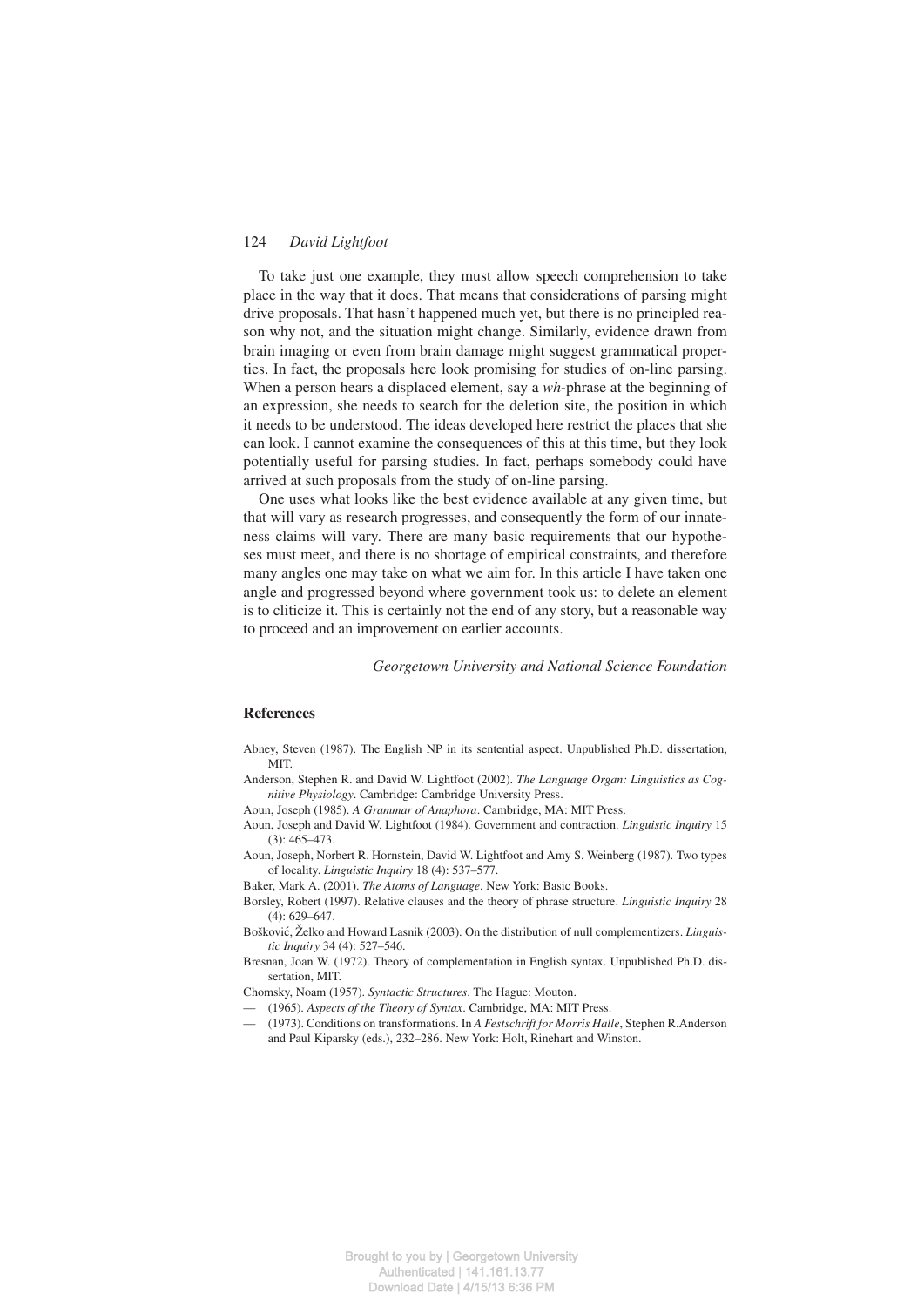To take just one example, they must allow speech comprehension to take place in the way that it does. That means that considerations of parsing might drive proposals. That hasn't happened much yet, but there is no principled reason why not, and the situation might change. Similarly, evidence drawn from brain imaging or even from brain damage might suggest grammatical properties. In fact, the proposals here look promising for studies of on-line parsing. When a person hears a displaced element, say a *wh*-phrase at the beginning of an expression, she needs to search for the deletion site, the position in which it needs to be understood. The ideas developed here restrict the places that she can look. I cannot examine the consequences of this at this time, but they look potentially useful for parsing studies. In fact, perhaps somebody could have arrived at such proposals from the study of on-line parsing.

One uses what looks like the best evidence available at any given time, but that will vary as research progresses, and consequently the form of our innateness claims will vary. There are many basic requirements that our hypotheses must meet, and there is no shortage of empirical constraints, and therefore many angles one may take on what we aim for. In this article I have taken one angle and progressed beyond where government took us: to delete an element is to cliticize it. This is certainly not the end of any story, but a reasonable way to proceed and an improvement on earlier accounts.

*Georgetown University and National Science Foundation*

#### **References**

- Abney, Steven (1987). The English NP in its sentential aspect. Unpublished Ph.D. dissertation, **MIT**
- Anderson, Stephen R. and David W. Lightfoot (2002). *The Language Organ: Linguistics as Cognitive Physiology*. Cambridge: Cambridge University Press.
- Aoun, Joseph (1985). *A Grammar of Anaphora*. Cambridge, MA: MIT Press.
- Aoun, Joseph and David W. Lightfoot (1984). Government and contraction. *Linguistic Inquiry* 15 (3): 465–473.
- Aoun, Joseph, Norbert R. Hornstein, David W. Lightfoot and Amy S. Weinberg (1987). Two types of locality. *Linguistic Inquiry* 18 (4): 537–577.

Baker, Mark A. (2001). *The Atoms of Language*. New York: Basic Books.

- Borsley, Robert (1997). Relative clauses and the theory of phrase structure. *Linguistic Inquiry* 28  $(4): 629 - 647$
- Bošković, Želko and Howard Lasnik (2003). On the distribution of null complementizers. *Linguistic Inquiry* 34 (4): 527–546.
- Bresnan, Joan W. (1972). Theory of complementation in English syntax. Unpublished Ph.D. dissertation, MIT.
- Chomsky, Noam (1957). *Syntactic Structures*. The Hague: Mouton.
- (1965). *Aspects of the Theory of Syntax*. Cambridge, MA: MIT Press.
- (1973). Conditions on transformations. In *A Festschrift for Morris Halle*, Stephen R.Anderson and Paul Kiparsky (eds.), 232–286. New York: Holt, Rinehart and Winston.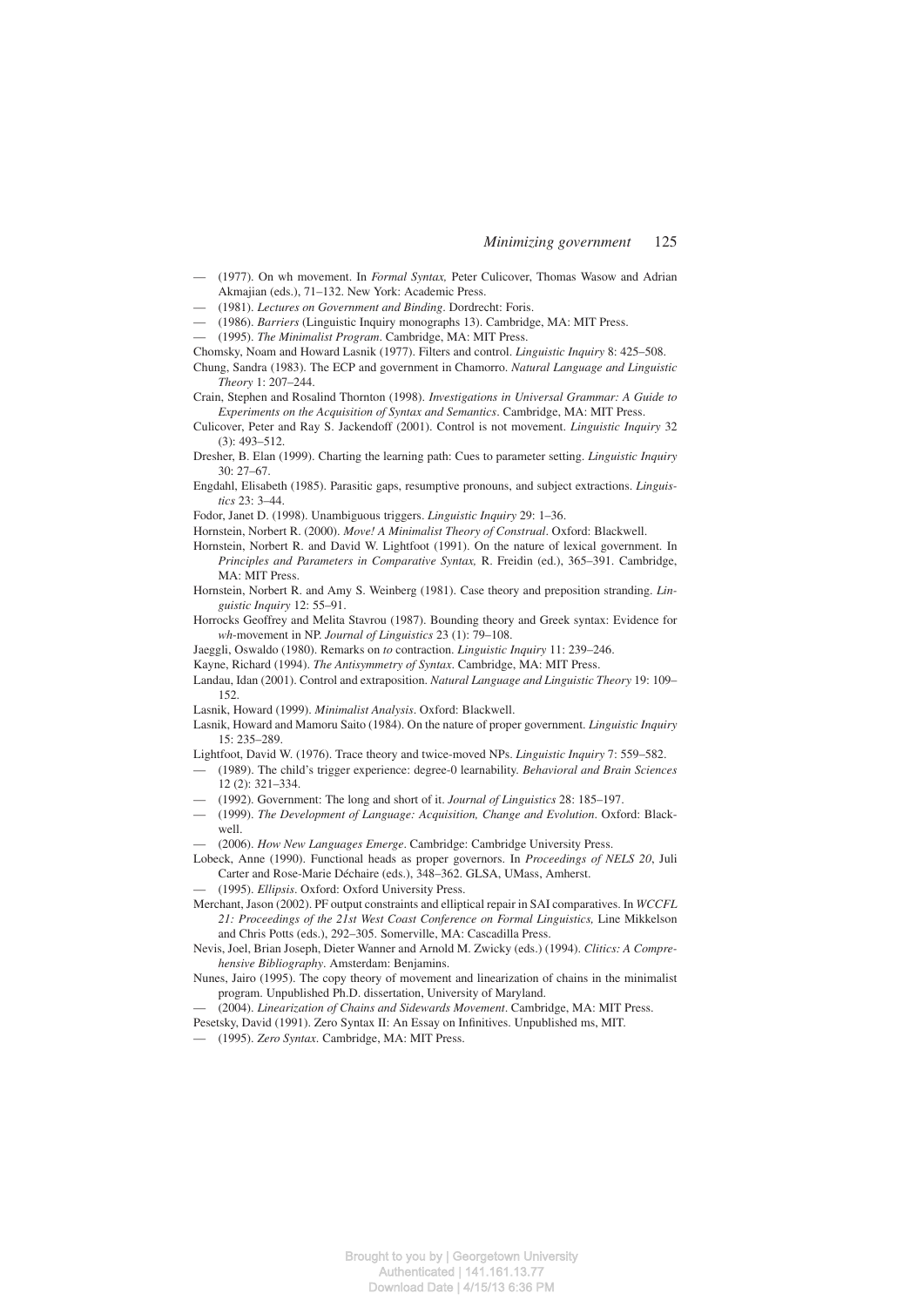- (1977). On wh movement. In *Formal Syntax,* Peter Culicover, Thomas Wasow and Adrian Akmajian (eds.), 71–132. New York: Academic Press.
- (1981). *Lectures on Government and Binding*. Dordrecht: Foris.
- (1986). *Barriers* (Linguistic Inquiry monographs 13). Cambridge, MA: MIT Press.
- (1995). *The Minimalist Program*. Cambridge, MA: MIT Press.
- Chomsky, Noam and Howard Lasnik (1977). Filters and control. *Linguistic Inquiry* 8: 425–508. Chung, Sandra (1983). The ECP and government in Chamorro. *Natural Language and Linguistic Theory* 1: 207–244.
- Crain, Stephen and Rosalind Thornton (1998). *Investigations in Universal Grammar: A Guide to Experiments on the Acquisition of Syntax and Semantics*. Cambridge, MA: MIT Press.
- Culicover, Peter and Ray S. Jackendoff (2001). Control is not movement. *Linguistic Inquiry* 32  $(3)$ : 493–512.
- Dresher, B. Elan (1999). Charting the learning path: Cues to parameter setting. *Linguistic Inquiry* 30: 27–67.
- Engdahl, Elisabeth (1985). Parasitic gaps, resumptive pronouns, and subject extractions. *Linguistics* 23: 3–44.
- Fodor, Janet D. (1998). Unambiguous triggers. *Linguistic Inquiry* 29: 1–36.
- Hornstein, Norbert R. (2000). *Move! A Minimalist Theory of Construal*. Oxford: Blackwell.
- Hornstein, Norbert R. and David W. Lightfoot (1991). On the nature of lexical government. In *Principles and Parameters in Comparative Syntax,* R. Freidin (ed.), 365–391. Cambridge, MA: MIT Press.
- Hornstein, Norbert R. and Amy S. Weinberg (1981). Case theory and preposition stranding. *Linguistic Inquiry* 12: 55–91.
- Horrocks Geoffrey and Melita Stavrou (1987). Bounding theory and Greek syntax: Evidence for *wh*-movement in NP. *Journal of Linguistics* 23 (1): 79–108.
- Jaeggli, Oswaldo (1980). Remarks on *to* contraction. *Linguistic Inquiry* 11: 239–246.
- Kayne, Richard (1994). *The Antisymmetry of Syntax*. Cambridge, MA: MIT Press.
- Landau, Idan (2001). Control and extraposition. *Natural Language and Linguistic Theory* 19: 109– 152.
- Lasnik, Howard (1999). *Minimalist Analysis*. Oxford: Blackwell.
- Lasnik, Howard and Mamoru Saito (1984). On the nature of proper government. *Linguistic Inquiry* 15: 235–289.
- Lightfoot, David W. (1976). Trace theory and twice-moved NPs. *Linguistic Inquiry* 7: 559–582.
- (1989). The child's trigger experience: degree-0 learnability. *Behavioral and Brain Sciences* 12 (2): 321–334.
- (1992). Government: The long and short of it. *Journal of Linguistics* 28: 185–197.
- (1999). *The Development of Language: Acquisition, Change and Evolution*. Oxford: Blackwell.
- (2006). *How New Languages Emerge*. Cambridge: Cambridge University Press. Lobeck, Anne (1990). Functional heads as proper governors. In *Proceedings of NELS 20*, Juli
- Carter and Rose-Marie Déchaire (eds.), 348–362. GLSA, UMass, Amherst.
- (1995). *Ellipsis*. Oxford: Oxford University Press.

Merchant, Jason (2002). PF output constraints and elliptical repair in SAI comparatives. In *WCCFL 21: Proceedings of the 21st West Coast Conference on Formal Linguistics,* Line Mikkelson and Chris Potts (eds.), 292–305. Somerville, MA: Cascadilla Press.

Nevis, Joel, Brian Joseph, Dieter Wanner and Arnold M. Zwicky (eds.) (1994). *Clitics: A Comprehensive Bibliography*. Amsterdam: Benjamins.

- Nunes, Jairo (1995). The copy theory of movement and linearization of chains in the minimalist program. Unpublished Ph.D. dissertation, University of Maryland.
- (2004). *Linearization of Chains and Sidewards Movement*. Cambridge, MA: MIT Press.

Pesetsky, David (1991). Zero Syntax II: An Essay on Infinitives. Unpublished ms, MIT.

— (1995). *Zero Syntax*. Cambridge, MA: MIT Press.